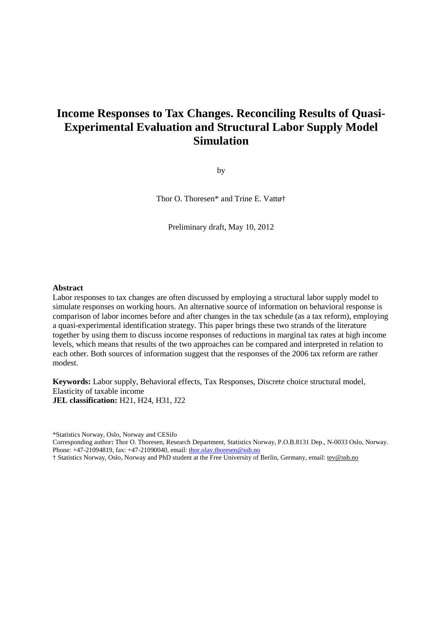# **Income Responses to Tax Changes. Reconciling Results of Quasi-Experimental Evaluation and Structural Labor Supply Model Simulation**

by

Thor O. Thoresen\* and Trine E. Vattø†

Preliminary draft, May 10, 2012

### **Abstract**

Labor responses to tax changes are often discussed by employing a structural labor supply model to simulate responses on working hours. An alternative source of information on behavioral response is comparison of labor incomes before and after changes in the tax schedule (as a tax reform), employing a quasi-experimental identification strategy. This paper brings these two strands of the literature together by using them to discuss income responses of reductions in marginal tax rates at high income levels, which means that results of the two approaches can be compared and interpreted in relation to each other. Both sources of information suggest that the responses of the 2006 tax reform are rather modest.

**Keywords:** Labor supply, Behavioral effects, Tax Responses, Discrete choice structural model, Elasticity of taxable income **JEL classification:** H21, H24, H31, J22

\*Statistics Norway, Oslo, Norway and CESifo

Corresponding author**:** Thor O. Thoresen, Research Department, Statistics Norway, P.O.B.8131 Dep., N-0033 Oslo, Norway. Phone: +47-21094819, fax: +47-21090040, email: thor.olav.thoresen@ssb.no

† Statistics Norway, Oslo, Norway and PhD student at the Free University of Berlin, Germany, email: tev@ssb.no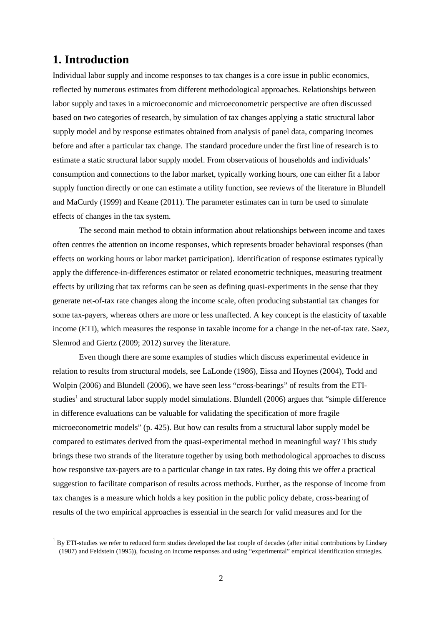# **1. Introduction**

 $\overline{a}$ 

Individual labor supply and income responses to tax changes is a core issue in public economics, reflected by numerous estimates from different methodological approaches. Relationships between labor supply and taxes in a microeconomic and microeconometric perspective are often discussed based on two categories of research, by simulation of tax changes applying a static structural labor supply model and by response estimates obtained from analysis of panel data, comparing incomes before and after a particular tax change. The standard procedure under the first line of research is to estimate a static structural labor supply model. From observations of households and individuals' consumption and connections to the labor market, typically working hours, one can either fit a labor supply function directly or one can estimate a utility function, see reviews of the literature in Blundell and MaCurdy (1999) and Keane (2011). The parameter estimates can in turn be used to simulate effects of changes in the tax system.

The second main method to obtain information about relationships between income and taxes often centres the attention on income responses, which represents broader behavioral responses (than effects on working hours or labor market participation). Identification of response estimates typically apply the difference-in-differences estimator or related econometric techniques, measuring treatment effects by utilizing that tax reforms can be seen as defining quasi-experiments in the sense that they generate net-of-tax rate changes along the income scale, often producing substantial tax changes for some tax-payers, whereas others are more or less unaffected. A key concept is the elasticity of taxable income (ETI), which measures the response in taxable income for a change in the net-of-tax rate. Saez, Slemrod and Giertz (2009; 2012) survey the literature.

Even though there are some examples of studies which discuss experimental evidence in relation to results from structural models, see LaLonde (1986), Eissa and Hoynes (2004), Todd and Wolpin (2006) and Blundell (2006), we have seen less "cross-bearings" of results from the ETIstudies<sup>1</sup> and structural labor supply model simulations. Blundell (2006) argues that "simple difference in difference evaluations can be valuable for validating the specification of more fragile microeconometric models" (p. 425). But how can results from a structural labor supply model be compared to estimates derived from the quasi-experimental method in meaningful way? This study brings these two strands of the literature together by using both methodological approaches to discuss how responsive tax-payers are to a particular change in tax rates. By doing this we offer a practical suggestion to facilitate comparison of results across methods. Further, as the response of income from tax changes is a measure which holds a key position in the public policy debate, cross-bearing of results of the two empirical approaches is essential in the search for valid measures and for the

 $1$  By ETI-studies we refer to reduced form studies developed the last couple of decades (after initial contributions by Lindsey (1987) and Feldstein (1995)), focusing on income responses and using "experimental" empirical identification strategies.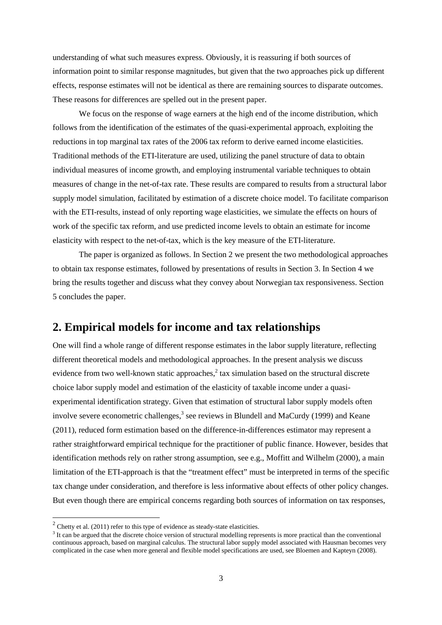understanding of what such measures express. Obviously, it is reassuring if both sources of information point to similar response magnitudes, but given that the two approaches pick up different effects, response estimates will not be identical as there are remaining sources to disparate outcomes. These reasons for differences are spelled out in the present paper.

We focus on the response of wage earners at the high end of the income distribution, which follows from the identification of the estimates of the quasi-experimental approach, exploiting the reductions in top marginal tax rates of the 2006 tax reform to derive earned income elasticities. Traditional methods of the ETI-literature are used, utilizing the panel structure of data to obtain individual measures of income growth, and employing instrumental variable techniques to obtain measures of change in the net-of-tax rate. These results are compared to results from a structural labor supply model simulation, facilitated by estimation of a discrete choice model. To facilitate comparison with the ETI-results, instead of only reporting wage elasticities, we simulate the effects on hours of work of the specific tax reform, and use predicted income levels to obtain an estimate for income elasticity with respect to the net-of-tax, which is the key measure of the ETI-literature.

The paper is organized as follows. In Section 2 we present the two methodological approaches to obtain tax response estimates, followed by presentations of results in Section 3. In Section 4 we bring the results together and discuss what they convey about Norwegian tax responsiveness. Section 5 concludes the paper.

## **2. Empirical models for income and tax relationships**

One will find a whole range of different response estimates in the labor supply literature, reflecting different theoretical models and methodological approaches. In the present analysis we discuss evidence from two well-known static approaches, $2$  tax simulation based on the structural discrete choice labor supply model and estimation of the elasticity of taxable income under a quasiexperimental identification strategy. Given that estimation of structural labor supply models often involve severe econometric challenges,<sup>3</sup> see reviews in Blundell and MaCurdy (1999) and Keane (2011), reduced form estimation based on the difference-in-differences estimator may represent a rather straightforward empirical technique for the practitioner of public finance. However, besides that identification methods rely on rather strong assumption, see e.g., Moffitt and Wilhelm (2000), a main limitation of the ETI-approach is that the "treatment effect" must be interpreted in terms of the specific tax change under consideration, and therefore is less informative about effects of other policy changes. But even though there are empirical concerns regarding both sources of information on tax responses,

l

 $2^2$  Chetty et al. (2011) refer to this type of evidence as steady-state elasticities.

<sup>&</sup>lt;sup>3</sup> It can be argued that the discrete choice version of structural modelling represents is more practical than the conventional continuous approach, based on marginal calculus. The structural labor supply model associated with Hausman becomes very complicated in the case when more general and flexible model specifications are used, see Bloemen and Kapteyn (2008).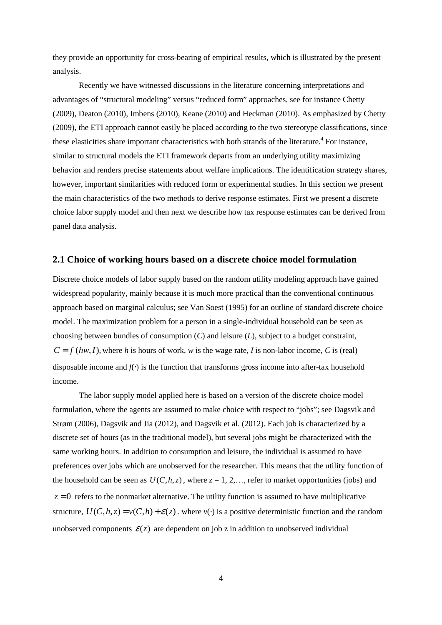they provide an opportunity for cross-bearing of empirical results, which is illustrated by the present analysis.

Recently we have witnessed discussions in the literature concerning interpretations and advantages of "structural modeling" versus "reduced form" approaches, see for instance Chetty (2009), Deaton (2010), Imbens (2010), Keane (2010) and Heckman (2010). As emphasized by Chetty (2009), the ETI approach cannot easily be placed according to the two stereotype classifications, since these elasticities share important characteristics with both strands of the literature.<sup>4</sup> For instance, similar to structural models the ETI framework departs from an underlying utility maximizing behavior and renders precise statements about welfare implications. The identification strategy shares, however, important similarities with reduced form or experimental studies. In this section we present the main characteristics of the two methods to derive response estimates. First we present a discrete choice labor supply model and then next we describe how tax response estimates can be derived from panel data analysis.

## **2.1 Choice of working hours based on a discrete choice model formulation**

Discrete choice models of labor supply based on the random utility modeling approach have gained widespread popularity, mainly because it is much more practical than the conventional continuous approach based on marginal calculus; see Van Soest (1995) for an outline of standard discrete choice model. The maximization problem for a person in a single-individual household can be seen as choosing between bundles of consumption (*C*) and leisure (*L*), subject to a budget constraint,  $C = f (hw, I)$ , where *h* is hours of work, *w* is the wage rate, *I* is non-labor income, *C* is (real) disposable income and  $f(\cdot)$  is the function that transforms gross income into after-tax household income.

The labor supply model applied here is based on a version of the discrete choice model formulation, where the agents are assumed to make choice with respect to "jobs"; see Dagsvik and Strøm (2006), Dagsvik and Jia (2012), and Dagsvik et al. (2012). Each job is characterized by a discrete set of hours (as in the traditional model), but several jobs might be characterized with the same working hours. In addition to consumption and leisure, the individual is assumed to have preferences over jobs which are unobserved for the researcher. This means that the utility function of the household can be seen as  $U(C, h, z)$ , where  $z = 1, 2, \dots$ , refer to market opportunities (jobs) and  $z = 0$  refers to the nonmarket alternative. The utility function is assumed to have multiplicative structure,  $U(C, h, z) = v(C, h) + \varepsilon(z)$ , where  $v(\cdot)$  is a positive deterministic function and the random unobserved components  $\mathcal{E}(z)$  are dependent on job z in addition to unobserved individual

4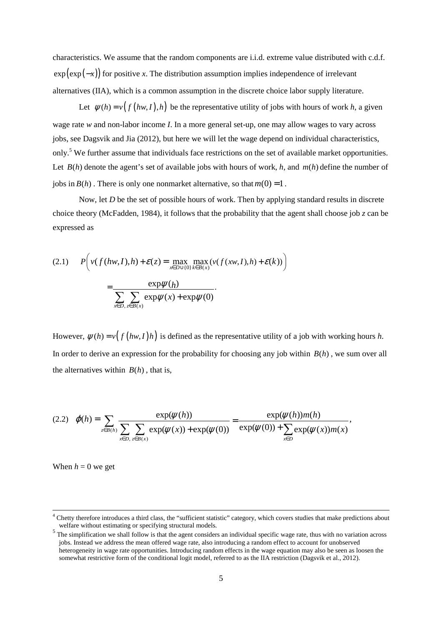characteristics. We assume that the random components are i.i.d. extreme value distributed with c.d.f.  $\exp(\exp(-x))$  for positive *x*. The distribution assumption implies independence of irrelevant alternatives (IIA), which is a common assumption in the discrete choice labor supply literature.

Let  $\psi(h) = v(f(hw, I), h)$  be the representative utility of jobs with hours of work *h*, a given wage rate *w* and non-labor income *I*. In a more general set-up, one may allow wages to vary across jobs, see Dagsvik and Jia (2012), but here we will let the wage depend on individual characteristics, only.<sup>5</sup> We further assume that individuals face restrictions on the set of available market opportunities. Let  $B(h)$  denote the agent's set of available jobs with hours of work, h, and  $m(h)$  define the number of jobs in  $B(h)$ . There is only one nonmarket alternative, so that  $m(0) = 1$ .

Now, let *D* be the set of possible hours of work. Then by applying standard results in discrete choice theory (McFadden, 1984), it follows that the probability that the agent shall choose job *z* can be expressed as

$$
(2.1) \qquad P\left(\nu(f(hw, I), h) + \mathcal{E}(z) = \max_{x \in D \cup \{0\}} \max_{k \in B(x)} (\nu(f(xw, I), h) + \mathcal{E}(k))\right)
$$

$$
= \frac{\exp \psi(h)}{\sum_{x \in D, z \in B(x)} \exp \psi(x) + \exp \psi(0)}.
$$

However,  $\psi(h) = v(f(hw, I)h)$  is defined as the representative utility of a job with working hours *h*. In order to derive an expression for the probability for choosing any job within  $B(h)$ , we sum over all the alternatives within  $B(h)$ , that is,

$$
(2.2) \quad \varphi(h) = \sum_{z \in B(h)} \frac{\exp(\psi(h))}{\sum_{x \in D, z \in B(x)} \exp(\psi(x)) + \exp(\psi(0))} = \frac{\exp(\psi(h))m(h)}{\exp(\psi(0)) + \sum_{x \in D} \exp(\psi(x))m(x)},
$$

When  $h = 0$  we get

<sup>&</sup>lt;sup>4</sup> Chetty therefore introduces a third class, the "sufficient statistic" category, which covers studies that make predictions about welfare without estimating or specifying structural models.

<sup>&</sup>lt;sup>5</sup> The simplification we shall follow is that the agent considers an individual specific wage rate, thus with no variation across jobs. Instead we address the mean offered wage rate, also introducing a random effect to account for unobserved heterogeneity in wage rate opportunities. Introducing random effects in the wage equation may also be seen as loosen the somewhat restrictive form of the conditional logit model, referred to as the IIA restriction (Dagsvik et al., 2012).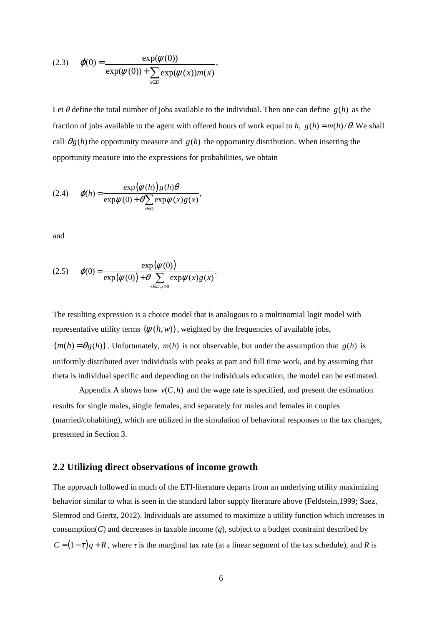(2.3) 
$$
\varphi(0) = \frac{\exp(\psi(0))}{\exp(\psi(0)) + \sum_{x \in D} \exp(\psi(x)) m(x)},
$$

Let  $\theta$  define the total number of jobs available to the individual. Then one can define  $g(h)$  as the fraction of jobs available to the agent with offered hours of work equal to *h*,  $g(h) = m(h)/\theta$ . We shall call  $\theta g(h)$  the opportunity measure and  $g(h)$  the opportunity distribution. When inserting the opportunity measure into the expressions for probabilities, we obtain

(2.4) 
$$
\varphi(h) = \frac{\exp(\psi(h)) g(h)\theta}{\exp\psi(0) + \theta \sum_{x \in D} \exp\psi(x) g(x)},
$$

and

(2.5) 
$$
\varphi(0) = \frac{\exp(\psi(0))}{\exp(\psi(0)) + \theta \sum_{x \in D, x > 0} \exp(\psi(x)) g(x)}.
$$

The resulting expression is a choice model that is analogous to a multinomial logit model with representative utility terms  $\{\psi(h, w)\}\$ , weighted by the frequencies of available jobs,  ${m(h) = \theta g(h)}$ . Unfortunately,  $m(h)$  is not observable, but under the assumption that  $g(h)$  is uniformly distributed over individuals with peaks at part and full time work, and by assuming that theta is individual specific and depending on the individuals education, the model can be estimated.

Appendix A shows how  $v(C, h)$  and the wage rate is specified, and present the estimation results for single males, single females, and separately for males and females in couples (married/cohabiting), which are utilized in the simulation of behavioral responses to the tax changes, presented in Section 3.

## **2.2 Utilizing direct observations of income growth**

The approach followed in much of the ETI-literature departs from an underlying utility maximizing behavior similar to what is seen in the standard labor supply literature above (Feldstein,1999; Saez, Slemrod and Giertz, 2012). Individuals are assumed to maximize a utility function which increases in consumption( $C$ ) and decreases in taxable income ( $q$ ), subject to a budget constraint described by  $C = (1 - \tau)q + R$ , where  $\tau$  is the marginal tax rate (at a linear segment of the tax schedule), and *R* is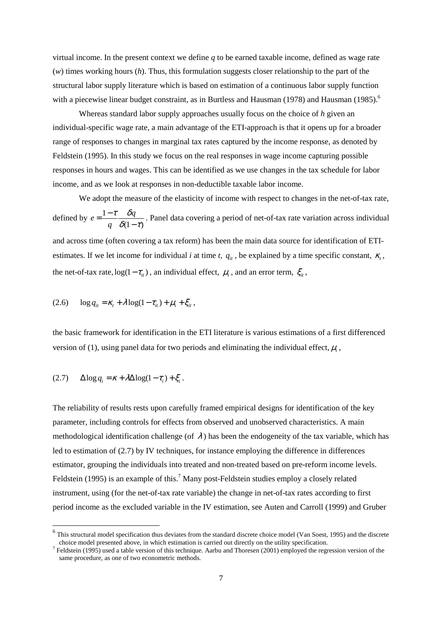virtual income. In the present context we define *q* to be earned taxable income, defined as wage rate (*w*) times working hours (*h*). Thus, this formulation suggests closer relationship to the part of the structural labor supply literature which is based on estimation of a continuous labor supply function with a piecewise linear budget constraint, as in Burtless and Hausman  $(1978)$  and Hausman  $(1985)$ .<sup>6</sup>

Whereas standard labor supply approaches usually focus on the choice of *h* given an individual-specific wage rate, a main advantage of the ETI-approach is that it opens up for a broader range of responses to changes in marginal tax rates captured by the income response, as denoted by Feldstein (1995). In this study we focus on the real responses in wage income capturing possible responses in hours and wages. This can be identified as we use changes in the tax schedule for labor income, and as we look at responses in non-deductible taxable labor income.

We adopt the measure of the elasticity of income with respect to changes in the net-of-tax rate, defined by  $e = \frac{1}{\epsilon}$  $(1 - \tau)$  $e = \frac{1-\tau}{\sigma} \frac{\delta q}{\sigma^2}$ *q* <sup>τ</sup> δ  $\delta(1-\tau)$  $=\frac{1-}{1}$ − . Panel data covering a period of net-of-tax rate variation across individual and across time (often covering a tax reform) has been the main data source for identification of ETIestimates. If we let income for individual *i* at time *t*,  $q_i$ , be explained by a time specific constant,  $\kappa_t$ , the net-of-tax rate,  $log(1 - \tau_{it})$ , an individual effect,  $\mu_i$ , and an error term,  $\zeta_{it}$ ,

$$
(2.6) \qquad \log q_{it} = \kappa_t + \lambda \log(1 - \tau_{it}) + \mu_i + \xi_{it},
$$

the basic framework for identification in the ETI literature is various estimations of a first differenced version of (1), using panel data for two periods and eliminating the individual effect,  $\mu_i$ ,

$$
(2.7) \qquad \Delta \log q_i = \kappa + \lambda \Delta \log(1 - \tau_i) + \xi_i \,.
$$

 $\overline{a}$ 

The reliability of results rests upon carefully framed empirical designs for identification of the key parameter, including controls for effects from observed and unobserved characteristics. A main methodological identification challenge (of  $\lambda$ ) has been the endogeneity of the tax variable, which has led to estimation of (2.7) by IV techniques, for instance employing the difference in differences estimator, grouping the individuals into treated and non-treated based on pre-reform income levels. Feldstein (1995) is an example of this.<sup>7</sup> Many post-Feldstein studies employ a closely related instrument, using (for the net-of-tax rate variable) the change in net-of-tax rates according to first period income as the excluded variable in the IV estimation, see Auten and Carroll (1999) and Gruber

<sup>&</sup>lt;sup>6</sup> This structural model specification thus deviates from the standard discrete choice model (Van Soest, 1995) and the discrete choice model presented above, in which estimation is carried out directly on the utility specification.

<sup>&</sup>lt;sup>7</sup> Feldstein (1995) used a table version of this technique. Aarbu and Thoresen (2001) employed the regression version of the same procedure, as one of two econometric methods.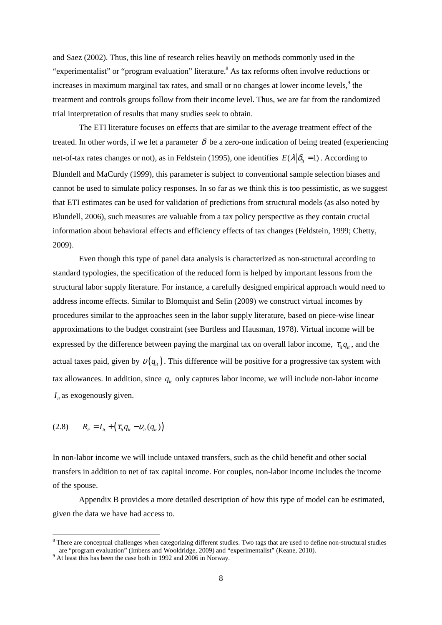and Saez (2002). Thus, this line of research relies heavily on methods commonly used in the "experimentalist" or "program evaluation" literature.<sup>8</sup> As tax reforms often involve reductions or increases in maximum marginal tax rates, and small or no changes at lower income levels,<sup>9</sup> the treatment and controls groups follow from their income level. Thus, we are far from the randomized trial interpretation of results that many studies seek to obtain.

 The ETI literature focuses on effects that are similar to the average treatment effect of the treated. In other words, if we let a parameter  $\delta$  be a zero-one indication of being treated (experiencing net-of-tax rates changes or not), as in Feldstein (1995), one identifies  $E(\lambda|\delta_i = 1)$ . According to Blundell and MaCurdy (1999), this parameter is subject to conventional sample selection biases and cannot be used to simulate policy responses. In so far as we think this is too pessimistic, as we suggest that ETI estimates can be used for validation of predictions from structural models (as also noted by Blundell, 2006), such measures are valuable from a tax policy perspective as they contain crucial information about behavioral effects and efficiency effects of tax changes (Feldstein, 1999; Chetty, 2009).

Even though this type of panel data analysis is characterized as non-structural according to standard typologies, the specification of the reduced form is helped by important lessons from the structural labor supply literature. For instance, a carefully designed empirical approach would need to address income effects. Similar to Blomquist and Selin (2009) we construct virtual incomes by procedures similar to the approaches seen in the labor supply literature, based on piece-wise linear approximations to the budget constraint (see Burtless and Hausman, 1978). Virtual income will be expressed by the difference between paying the marginal tax on overall labor income,  $\tau_{i}q_{i}$ , and the actual taxes paid, given by  $v(q_i)$ . This difference will be positive for a progressive tax system with tax allowances. In addition, since  $q_{i}$  only captures labor income, we will include non-labor income  $I_{i}$  as exogenously given.

$$
(2.8) \t R_{ii} = I_{ii} + (\tau_{ii}q_{ii} - v_{ii}(q_{ii}))
$$

 $\overline{a}$ 

In non-labor income we will include untaxed transfers, such as the child benefit and other social transfers in addition to net of tax capital income. For couples, non-labor income includes the income of the spouse.

Appendix B provides a more detailed description of how this type of model can be estimated, given the data we have had access to.

 $8$  There are conceptual challenges when categorizing different studies. Two tags that are used to define non-structural studies are "program evaluation" (Imbens and Wooldridge, 2009) and "experimentalist" (Keane, 2010).

<sup>&</sup>lt;sup>9</sup> At least this has been the case both in 1992 and 2006 in Norway.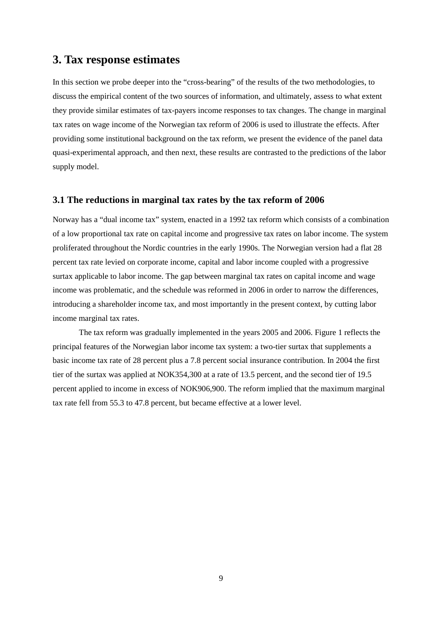# **3. Tax response estimates**

In this section we probe deeper into the "cross-bearing" of the results of the two methodologies, to discuss the empirical content of the two sources of information, and ultimately, assess to what extent they provide similar estimates of tax-payers income responses to tax changes. The change in marginal tax rates on wage income of the Norwegian tax reform of 2006 is used to illustrate the effects. After providing some institutional background on the tax reform, we present the evidence of the panel data quasi-experimental approach, and then next, these results are contrasted to the predictions of the labor supply model.

## **3.1 The reductions in marginal tax rates by the tax reform of 2006**

Norway has a "dual income tax" system, enacted in a 1992 tax reform which consists of a combination of a low proportional tax rate on capital income and progressive tax rates on labor income. The system proliferated throughout the Nordic countries in the early 1990s. The Norwegian version had a flat 28 percent tax rate levied on corporate income, capital and labor income coupled with a progressive surtax applicable to labor income. The gap between marginal tax rates on capital income and wage income was problematic, and the schedule was reformed in 2006 in order to narrow the differences, introducing a shareholder income tax, and most importantly in the present context, by cutting labor income marginal tax rates.

The tax reform was gradually implemented in the years 2005 and 2006. Figure 1 reflects the principal features of the Norwegian labor income tax system: a two-tier surtax that supplements a basic income tax rate of 28 percent plus a 7.8 percent social insurance contribution. In 2004 the first tier of the surtax was applied at NOK354,300 at a rate of 13.5 percent, and the second tier of 19.5 percent applied to income in excess of NOK906,900. The reform implied that the maximum marginal tax rate fell from 55.3 to 47.8 percent, but became effective at a lower level.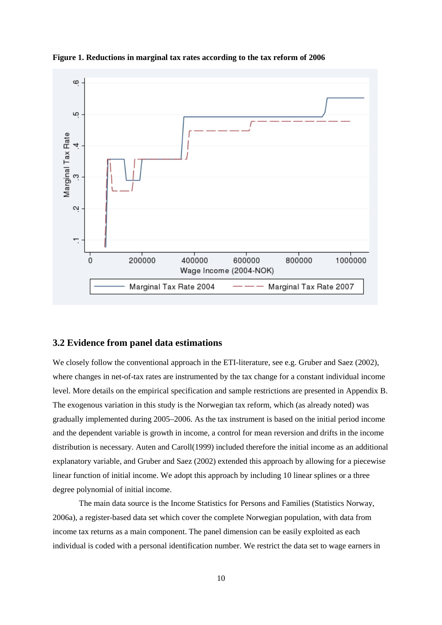

**Figure 1. Reductions in marginal tax rates according to the tax reform of 2006** 

### **3.2 Evidence from panel data estimations**

We closely follow the conventional approach in the ETI-literature, see e.g. Gruber and Saez (2002), where changes in net-of-tax rates are instrumented by the tax change for a constant individual income level. More details on the empirical specification and sample restrictions are presented in Appendix B. The exogenous variation in this study is the Norwegian tax reform, which (as already noted) was gradually implemented during 2005–2006. As the tax instrument is based on the initial period income and the dependent variable is growth in income, a control for mean reversion and drifts in the income distribution is necessary. Auten and Caroll(1999) included therefore the initial income as an additional explanatory variable, and Gruber and Saez (2002) extended this approach by allowing for a piecewise linear function of initial income. We adopt this approach by including 10 linear splines or a three degree polynomial of initial income.

The main data source is the Income Statistics for Persons and Families (Statistics Norway, 2006a), a register-based data set which cover the complete Norwegian population, with data from income tax returns as a main component. The panel dimension can be easily exploited as each individual is coded with a personal identification number. We restrict the data set to wage earners in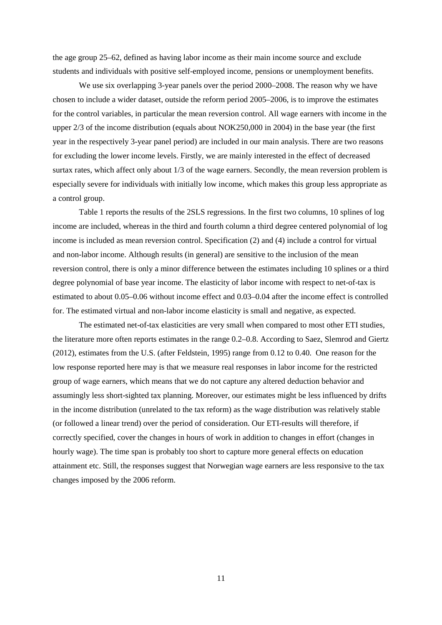the age group 25–62, defined as having labor income as their main income source and exclude students and individuals with positive self-employed income, pensions or unemployment benefits.

We use six overlapping 3-year panels over the period 2000–2008. The reason why we have chosen to include a wider dataset, outside the reform period 2005–2006, is to improve the estimates for the control variables, in particular the mean reversion control. All wage earners with income in the upper 2/3 of the income distribution (equals about NOK250,000 in 2004) in the base year (the first year in the respectively 3-year panel period) are included in our main analysis. There are two reasons for excluding the lower income levels. Firstly, we are mainly interested in the effect of decreased surtax rates, which affect only about 1/3 of the wage earners. Secondly, the mean reversion problem is especially severe for individuals with initially low income, which makes this group less appropriate as a control group.

Table 1 reports the results of the 2SLS regressions. In the first two columns, 10 splines of log income are included, whereas in the third and fourth column a third degree centered polynomial of log income is included as mean reversion control. Specification (2) and (4) include a control for virtual and non-labor income. Although results (in general) are sensitive to the inclusion of the mean reversion control, there is only a minor difference between the estimates including 10 splines or a third degree polynomial of base year income. The elasticity of labor income with respect to net-of-tax is estimated to about 0.05–0.06 without income effect and 0.03–0.04 after the income effect is controlled for. The estimated virtual and non-labor income elasticity is small and negative, as expected.

The estimated net-of-tax elasticities are very small when compared to most other ETI studies, the literature more often reports estimates in the range 0.2–0.8. According to Saez, Slemrod and Giertz (2012), estimates from the U.S. (after Feldstein, 1995) range from 0.12 to 0.40. One reason for the low response reported here may is that we measure real responses in labor income for the restricted group of wage earners, which means that we do not capture any altered deduction behavior and assumingly less short-sighted tax planning. Moreover, our estimates might be less influenced by drifts in the income distribution (unrelated to the tax reform) as the wage distribution was relatively stable (or followed a linear trend) over the period of consideration. Our ETI-results will therefore, if correctly specified, cover the changes in hours of work in addition to changes in effort (changes in hourly wage). The time span is probably too short to capture more general effects on education attainment etc. Still, the responses suggest that Norwegian wage earners are less responsive to the tax changes imposed by the 2006 reform.

11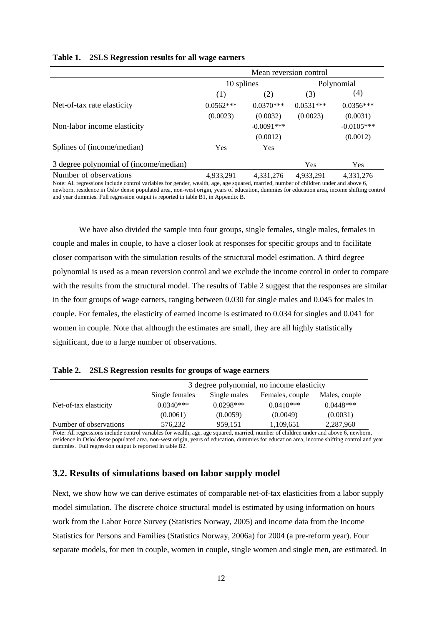|  | Table 1. 2SLS Regression results for all wage earners |  |  |
|--|-------------------------------------------------------|--|--|
|--|-------------------------------------------------------|--|--|

|                                        | Mean reversion control |              |             |              |  |
|----------------------------------------|------------------------|--------------|-------------|--------------|--|
|                                        | 10 splines             |              | Polynomial  |              |  |
|                                        | (1)                    | (2)          | (3)         | (4)          |  |
| Net-of-tax rate elasticity             | $0.0562***$            | $0.0370***$  | $0.0531***$ | $0.0356***$  |  |
|                                        | (0.0023)               | (0.0032)     | (0.0023)    | (0.0031)     |  |
| Non-labor income elasticity            |                        | $-0.0091***$ |             | $-0.0105***$ |  |
|                                        |                        | (0.0012)     |             | (0.0012)     |  |
| Splines of (income/median)             | Yes                    | Yes          |             |              |  |
| 3 degree polynomial of (income/median) |                        |              | Yes         | Yes          |  |
| Number of observations                 | 4,933,291              | 4,331,276    | 4,933,291   | 4,331,276    |  |

Note: All regressions include control variables for gender, wealth, age, age squared, married, number of children under and above 6, newborn, residence in Oslo/ dense populated area, non-west origin, years of education, dummies for education area, income shifting control and year dummies. Full regression output is reported in table B1, in Appendix B.

We have also divided the sample into four groups, single females, single males, females in couple and males in couple, to have a closer look at responses for specific groups and to facilitate closer comparison with the simulation results of the structural model estimation. A third degree polynomial is used as a mean reversion control and we exclude the income control in order to compare with the results from the structural model. The results of Table 2 suggest that the responses are similar in the four groups of wage earners, ranging between 0.030 for single males and 0.045 for males in couple. For females, the elasticity of earned income is estimated to 0.034 for singles and 0.041 for women in couple. Note that although the estimates are small, they are all highly statistically significant, due to a large number of observations.

| Table 2. | <b>2SLS Regression results for groups of wage earners</b> |  |
|----------|-----------------------------------------------------------|--|
|          |                                                           |  |

|                        | 3 degree polynomial, no income elasticity |                                 |             |               |  |
|------------------------|-------------------------------------------|---------------------------------|-------------|---------------|--|
|                        | Single females                            | Single males<br>Females, couple |             | Males, couple |  |
| Net-of-tax elasticity  | $0.0340***$                               | $0.0298***$                     | $0.0410***$ | $0.0448***$   |  |
|                        | (0.0061)                                  | (0.0059)                        | (0.0049)    | (0.0031)      |  |
| Number of observations | 576.232                                   | 959.151                         | 1,109,651   | 2,287,960     |  |

Note: All regressions include control variables for wealth, age, age squared, married, number of children under and above 6, newborn, residence in Oslo/ dense populated area, non-west origin, years of education, dummies for education area, income shifting control and year dummies. Full regression output is reported in table B2.

## **3.2. Results of simulations based on labor supply model**

Next, we show how we can derive estimates of comparable net-of-tax elasticities from a labor supply model simulation. The discrete choice structural model is estimated by using information on hours work from the Labor Force Survey (Statistics Norway, 2005) and income data from the Income Statistics for Persons and Families (Statistics Norway, 2006a) for 2004 (a pre-reform year). Four separate models, for men in couple, women in couple, single women and single men, are estimated. In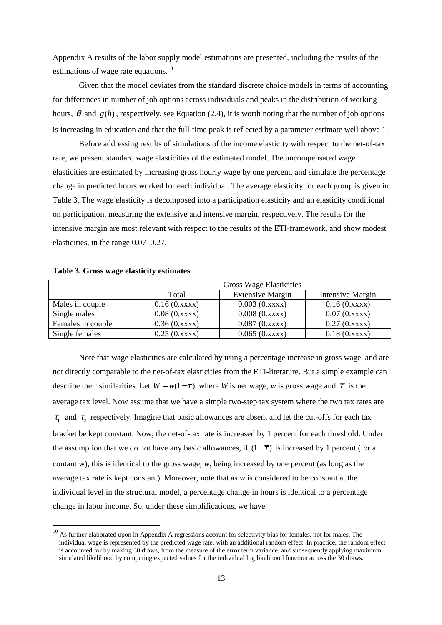Appendix A results of the labor supply model estimations are presented, including the results of the estimations of wage rate equations. $^{10}$ 

 Given that the model deviates from the standard discrete choice models in terms of accounting for differences in number of job options across individuals and peaks in the distribution of working hours,  $\theta$  and  $g(h)$ , respectively, see Equation (2.4), it is worth noting that the number of job options is increasing in education and that the full-time peak is reflected by a parameter estimate well above 1.

 Before addressing results of simulations of the income elasticity with respect to the net-of-tax rate, we present standard wage elasticities of the estimated model. The uncompensated wage elasticities are estimated by increasing gross hourly wage by one percent, and simulate the percentage change in predicted hours worked for each individual. The average elasticity for each group is given in Table 3. The wage elasticity is decomposed into a participation elasticity and an elasticity conditional on participation, measuring the extensive and intensive margin, respectively. The results for the intensive margin are most relevant with respect to the results of the ETI-framework, and show modest elasticities, in the range 0.07–0.27.

|                   | <b>Gross Wage Elasticities</b> |                         |                  |  |  |
|-------------------|--------------------------------|-------------------------|------------------|--|--|
|                   | Total                          | <b>Extensive Margin</b> | Intensive Margin |  |  |
| Males in couple   | 0.16(0.xxxx)                   | 0.003(0.xxxx)           | 0.16(0.xxxx)     |  |  |
| Single males      | 0.08(0.xxxx)                   | 0.008(0.xxxx)           | 0.07(0.xxxx)     |  |  |
| Females in couple | 0.36(0.xxxx)                   | 0.087(0.xxxx)           | 0.27(0.xxxx)     |  |  |
| Single females    | 0.25(0.xxxx)                   | 0.065(0.xxxx)           | 0.18(0.xxxx)     |  |  |

**Table 3. Gross wage elasticity estimates** 

 $\overline{a}$ 

Note that wage elasticities are calculated by using a percentage increase in gross wage, and are not directly comparable to the net-of-tax elasticities from the ETI-literature. But a simple example can describe their similarities. Let  $W = w(1 - \overline{\tau})$  where *W* is net wage, *w* is gross wage and  $\overline{\tau}$  is the average tax level. Now assume that we have a simple two-step tax system where the two tax rates are  $\tau_1$  and  $\tau_2$  respectively. Imagine that basic allowances are absent and let the cut-offs for each tax bracket be kept constant. Now, the net-of-tax rate is increased by 1 percent for each threshold. Under the assumption that we do not have any basic allowances, if  $(1 - \overline{\tau})$  is increased by 1 percent (for a contant w), this is identical to the gross wage, *w*, being increased by one percent (as long as the average tax rate is kept constant). Moreover, note that as *w* is considered to be constant at the individual level in the structural model, a percentage change in hours is identical to a percentage change in labor income. So, under these simplifications, we have

 $10<sup>10</sup>$  As further elaborated upon in Appendix A regressions account for selectivity bias for females, not for males. The individual wage is represented by the predicted wage rate, with an additional random effect. In practice, the random effect is accounted for by making 30 draws, from the measure of the error term variance, and subsequently applying maximum simulated likelihood by computing expected values for the individual log likelihood function across the 30 draws.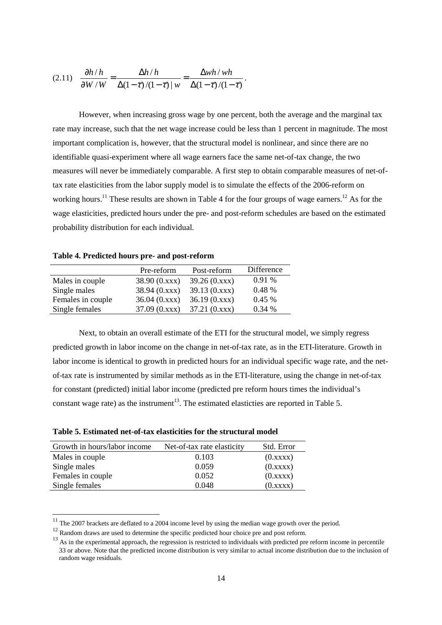$$
(2.11) \quad \frac{\partial h/h}{\partial W/W} = \frac{\Delta h/h}{\Delta(1-\tau)/(1-\tau)|w} = \frac{\Delta wh/wh}{\Delta(1-\tau)/(1-\tau)}
$$

However, when increasing gross wage by one percent, both the average and the marginal tax rate may increase, such that the net wage increase could be less than 1 percent in magnitude. The most important complication is, however, that the structural model is nonlinear, and since there are no identifiable quasi-experiment where all wage earners face the same net-of-tax change, the two measures will never be immediately comparable. A first step to obtain comparable measures of net-oftax rate elasticities from the labor supply model is to simulate the effects of the 2006-reform on working hours.<sup>11</sup> These results are shown in Table 4 for the four groups of wage earners.<sup>12</sup> As for the wage elasticities, predicted hours under the pre- and post-reform schedules are based on the estimated probability distribution for each individual.

.

|                   | Pre-reform   | Post-reform  | Difference |
|-------------------|--------------|--------------|------------|
| Males in couple   | 38.90(0.xxx) | 39.26(0.xxx) | 0.91%      |
| Single males      | 38.94(0.xxx) | 39.13(0.xxx) | 0.48%      |
| Females in couple | 36.04(0.xxx) | 36.19(0.xxx) | 0.45%      |
| Single females    | 37.09(0.xxx) | 37.21(0.xxx) | 0.34%      |

**Table 4. Predicted hours pre- and post-reform** 

 Next, to obtain an overall estimate of the ETI for the structural model, we simply regress predicted growth in labor income on the change in net-of-tax rate, as in the ETI-literature. Growth in labor income is identical to growth in predicted hours for an individual specific wage rate, and the netof-tax rate is instrumented by similar methods as in the ETI-literature, using the change in net-of-tax for constant (predicted) initial labor income (predicted pre reform hours times the individual's constant wage rate) as the instrument<sup>13</sup>. The estimated elasticties are reported in Table 5.

 $\overline{a}$ 

| Growth in hours/labor income | Net-of-tax rate elasticity | Std. Error |
|------------------------------|----------------------------|------------|
| Males in couple              | 0.103                      | (0.xxxx)   |
| Single males                 | 0.059                      | (0.xxxx)   |
| Females in couple            | 0.052                      | (0.xxxx)   |
| Single females               | 0.048                      | (0.xxxx)   |

 $11$  The 2007 brackets are deflated to a 2004 income level by using the median wage growth over the period.

<sup>&</sup>lt;sup>12</sup> Random draws are used to determine the specific predicted hour choice pre and post reform.

 $13$  As in the experimental approach, the regression is restricted to individuals with predicted pre reform income in percentile 33 or above. Note that the predicted income distribution is very similar to actual income distribution due to the inclusion of random wage residuals.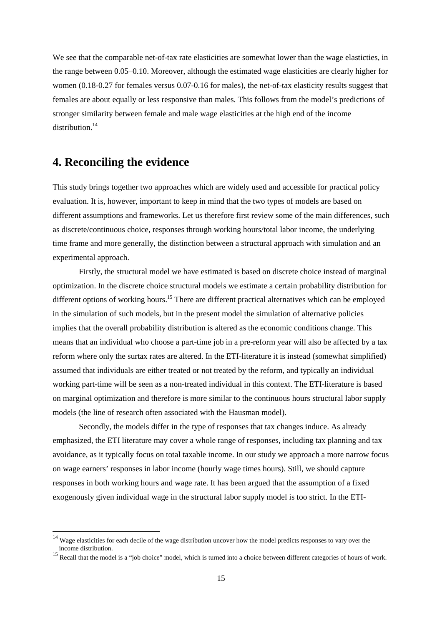We see that the comparable net-of-tax rate elasticities are somewhat lower than the wage elasticties, in the range between 0.05–0.10. Moreover, although the estimated wage elasticities are clearly higher for women (0.18-0.27 for females versus 0.07-0.16 for males), the net-of-tax elasticity results suggest that females are about equally or less responsive than males. This follows from the model's predictions of stronger similarity between female and male wage elasticities at the high end of the income  $distri$ bution<sup>14</sup>

# **4. Reconciling the evidence**

 $\overline{a}$ 

This study brings together two approaches which are widely used and accessible for practical policy evaluation. It is, however, important to keep in mind that the two types of models are based on different assumptions and frameworks. Let us therefore first review some of the main differences, such as discrete/continuous choice, responses through working hours/total labor income, the underlying time frame and more generally, the distinction between a structural approach with simulation and an experimental approach.

 Firstly, the structural model we have estimated is based on discrete choice instead of marginal optimization. In the discrete choice structural models we estimate a certain probability distribution for different options of working hours.<sup>15</sup> There are different practical alternatives which can be employed in the simulation of such models, but in the present model the simulation of alternative policies implies that the overall probability distribution is altered as the economic conditions change. This means that an individual who choose a part-time job in a pre-reform year will also be affected by a tax reform where only the surtax rates are altered. In the ETI-literature it is instead (somewhat simplified) assumed that individuals are either treated or not treated by the reform, and typically an individual working part-time will be seen as a non-treated individual in this context. The ETI-literature is based on marginal optimization and therefore is more similar to the continuous hours structural labor supply models (the line of research often associated with the Hausman model).

 Secondly, the models differ in the type of responses that tax changes induce. As already emphasized, the ETI literature may cover a whole range of responses, including tax planning and tax avoidance, as it typically focus on total taxable income. In our study we approach a more narrow focus on wage earners' responses in labor income (hourly wage times hours). Still, we should capture responses in both working hours and wage rate. It has been argued that the assumption of a fixed exogenously given individual wage in the structural labor supply model is too strict. In the ETI-

<sup>&</sup>lt;sup>14</sup> Wage elasticities for each decile of the wage distribution uncover how the model predicts responses to vary over the income distribution.

<sup>&</sup>lt;sup>15</sup> Recall that the model is a "job choice" model, which is turned into a choice between different categories of hours of work.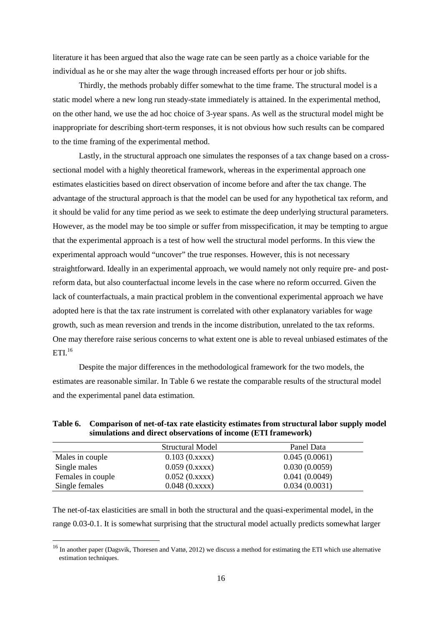literature it has been argued that also the wage rate can be seen partly as a choice variable for the individual as he or she may alter the wage through increased efforts per hour or job shifts.

Thirdly, the methods probably differ somewhat to the time frame. The structural model is a static model where a new long run steady-state immediately is attained. In the experimental method, on the other hand, we use the ad hoc choice of 3-year spans. As well as the structural model might be inappropriate for describing short-term responses, it is not obvious how such results can be compared to the time framing of the experimental method.

 Lastly, in the structural approach one simulates the responses of a tax change based on a crosssectional model with a highly theoretical framework, whereas in the experimental approach one estimates elasticities based on direct observation of income before and after the tax change. The advantage of the structural approach is that the model can be used for any hypothetical tax reform, and it should be valid for any time period as we seek to estimate the deep underlying structural parameters. However, as the model may be too simple or suffer from misspecification, it may be tempting to argue that the experimental approach is a test of how well the structural model performs. In this view the experimental approach would "uncover" the true responses. However, this is not necessary straightforward. Ideally in an experimental approach, we would namely not only require pre- and postreform data, but also counterfactual income levels in the case where no reform occurred. Given the lack of counterfactuals, a main practical problem in the conventional experimental approach we have adopted here is that the tax rate instrument is correlated with other explanatory variables for wage growth, such as mean reversion and trends in the income distribution, unrelated to the tax reforms. One may therefore raise serious concerns to what extent one is able to reveal unbiased estimates of the  $\mathrm{ETI.}^{16}$ 

 Despite the major differences in the methodological framework for the two models, the estimates are reasonable similar. In Table 6 we restate the comparable results of the structural model and the experimental panel data estimation.

|                   | Structural Model | Panel Data    |
|-------------------|------------------|---------------|
| Males in couple   | 0.103(0.xxxx)    | 0.045(0.0061) |
| Single males      | 0.059(0.xxxx)    | 0.030(0.0059) |
| Females in couple | 0.052(0.xxxx)    | 0.041(0.0049) |
| Single females    | 0.048(0.xxxx)    | 0.034(0.0031) |

**Table 6. Comparison of net-of-tax rate elasticity estimates from structural labor supply model simulations and direct observations of income (ETI framework)** 

The net-of-tax elasticities are small in both the structural and the quasi-experimental model, in the range 0.03-0.1. It is somewhat surprising that the structural model actually predicts somewhat larger

 $\overline{a}$ 

 $16$  In another paper (Dagsvik, Thoresen and Vattø, 2012) we discuss a method for estimating the ETI which use alternative estimation techniques.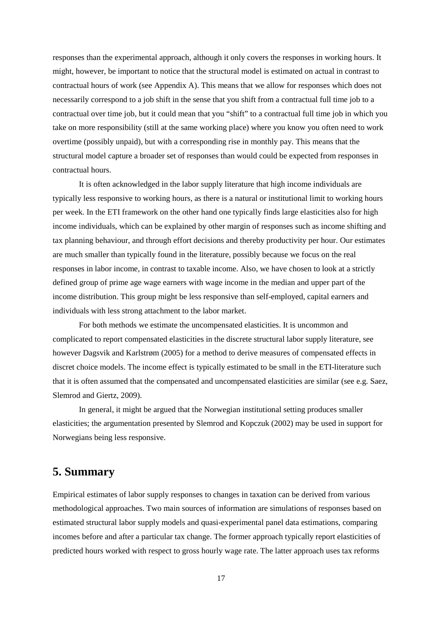responses than the experimental approach, although it only covers the responses in working hours. It might, however, be important to notice that the structural model is estimated on actual in contrast to contractual hours of work (see Appendix A). This means that we allow for responses which does not necessarily correspond to a job shift in the sense that you shift from a contractual full time job to a contractual over time job, but it could mean that you "shift" to a contractual full time job in which you take on more responsibility (still at the same working place) where you know you often need to work overtime (possibly unpaid), but with a corresponding rise in monthly pay. This means that the structural model capture a broader set of responses than would could be expected from responses in contractual hours.

 It is often acknowledged in the labor supply literature that high income individuals are typically less responsive to working hours, as there is a natural or institutional limit to working hours per week. In the ETI framework on the other hand one typically finds large elasticities also for high income individuals, which can be explained by other margin of responses such as income shifting and tax planning behaviour, and through effort decisions and thereby productivity per hour. Our estimates are much smaller than typically found in the literature, possibly because we focus on the real responses in labor income, in contrast to taxable income. Also, we have chosen to look at a strictly defined group of prime age wage earners with wage income in the median and upper part of the income distribution. This group might be less responsive than self-employed, capital earners and individuals with less strong attachment to the labor market.

For both methods we estimate the uncompensated elasticities. It is uncommon and complicated to report compensated elasticities in the discrete structural labor supply literature, see however Dagsvik and Karlstrøm (2005) for a method to derive measures of compensated effects in discret choice models. The income effect is typically estimated to be small in the ETI-literature such that it is often assumed that the compensated and uncompensated elasticities are similar (see e.g. Saez, Slemrod and Giertz, 2009).

 In general, it might be argued that the Norwegian institutional setting produces smaller elasticities; the argumentation presented by Slemrod and Kopczuk (2002) may be used in support for Norwegians being less responsive.

# **5. Summary**

Empirical estimates of labor supply responses to changes in taxation can be derived from various methodological approaches. Two main sources of information are simulations of responses based on estimated structural labor supply models and quasi-experimental panel data estimations, comparing incomes before and after a particular tax change. The former approach typically report elasticities of predicted hours worked with respect to gross hourly wage rate. The latter approach uses tax reforms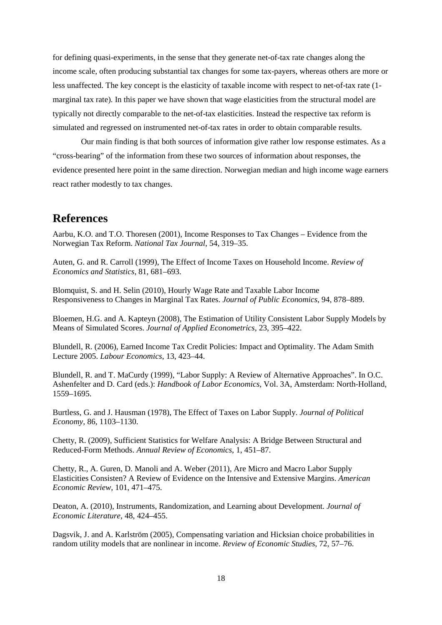for defining quasi-experiments, in the sense that they generate net-of-tax rate changes along the income scale, often producing substantial tax changes for some tax-payers, whereas others are more or less unaffected. The key concept is the elasticity of taxable income with respect to net-of-tax rate (1 marginal tax rate). In this paper we have shown that wage elasticities from the structural model are typically not directly comparable to the net-of-tax elasticities. Instead the respective tax reform is simulated and regressed on instrumented net-of-tax rates in order to obtain comparable results.

 Our main finding is that both sources of information give rather low response estimates. As a "cross-bearing" of the information from these two sources of information about responses, the evidence presented here point in the same direction. Norwegian median and high income wage earners react rather modestly to tax changes.

## **References**

Aarbu, K.O. and T.O. Thoresen (2001), Income Responses to Tax Changes – Evidence from the Norwegian Tax Reform. *National Tax Journal*, 54, 319–35.

Auten, G. and R. Carroll (1999), The Effect of Income Taxes on Household Income. *Review of Economics and Statistics*, 81, 681–693.

Blomquist, S. and H. Selin (2010), Hourly Wage Rate and Taxable Labor Income Responsiveness to Changes in Marginal Tax Rates. *Journal of Public Economics*, 94, 878–889.

Bloemen, H.G. and A. Kapteyn (2008), The Estimation of Utility Consistent Labor Supply Models by Means of Simulated Scores. *Journal of Applied Econometrics*, 23, 395–422.

Blundell, R. (2006), Earned Income Tax Credit Policies: Impact and Optimality. The Adam Smith Lecture 2005. *Labour Economics*, 13, 423–44.

Blundell, R. and T. MaCurdy (1999), "Labor Supply: A Review of Alternative Approaches". In O.C. Ashenfelter and D. Card (eds.): *Handbook of Labor Economics*, Vol. 3A, Amsterdam: North-Holland, 1559–1695.

Burtless, G. and J. Hausman (1978), The Effect of Taxes on Labor Supply. *Journal of Political Economy*, 86, 1103–1130.

Chetty, R. (2009), Sufficient Statistics for Welfare Analysis: A Bridge Between Structural and Reduced-Form Methods. *Annual Review of Economics*, 1, 451–87.

Chetty, R., A. Guren, D. Manoli and A. Weber (2011), Are Micro and Macro Labor Supply Elasticities Consisten? A Review of Evidence on the Intensive and Extensive Margins. *American Economic Review*, 101, 471–475.

Deaton, A. (2010), Instruments, Randomization, and Learning about Development. *Journal of Economic Literature*, 48, 424–455.

Dagsvik, J. and A. Karlström (2005), Compensating variation and Hicksian choice probabilities in random utility models that are nonlinear in income. *Review of Economic Studies*, 72, 57–76.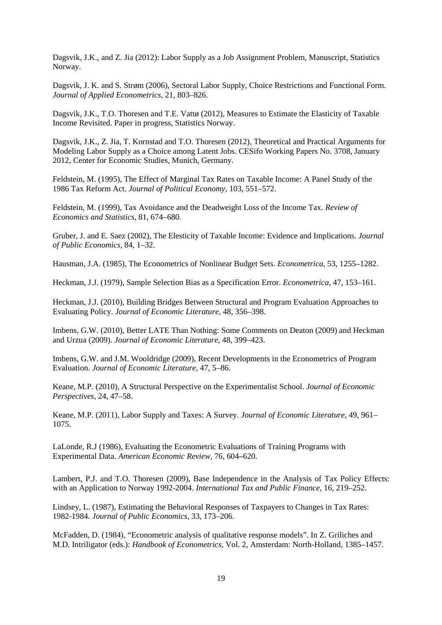Dagsvik, J.K., and Z. Jia (2012): Labor Supply as a Job Assignment Problem, Manuscript, Statistics Norway.

Dagsvik, J. K. and S. Strøm (2006), Sectoral Labor Supply, Choice Restrictions and Functional Form. *Journal of Applied Econometrics*, 21, 803–826.

Dagsvik, J.K., T.O. Thoresen and T.E. Vattø (2012), Measures to Estimate the Elasticity of Taxable Income Revisited. Paper in progress, Statistics Norway.

Dagsvik, J.K., Z. Jia, T. Kornstad and T.O. Thoresen (2012), Theoretical and Practical Arguments for Modeling Labor Supply as a Choice among Latent Jobs. CESifo Working Papers No. 3708, January 2012, Center for Economic Studies, Munich, Germany.

Feldstein, M. (1995), The Effect of Marginal Tax Rates on Taxable Income: A Panel Study of the 1986 Tax Reform Act. *Journal of Political Economy*, 103, 551–572.

Feldstein, M. (1999), Tax Avoidance and the Deadweight Loss of the Income Tax. *Review of Economics and Statistics*, 81, 674–680.

Gruber, J. and E. Saez (2002), The Elesticity of Taxable Income: Evidence and Implications. *Journal of Public Economics*, 84, 1–32.

Hausman, J.A. (1985), The Econometrics of Nonlinear Budget Sets. *Econometrica*, 53, 1255–1282.

Heckman, J.J. (1979), Sample Selection Bias as a Specification Error. *Econometrica*, 47, 153–161.

Heckman, J.J. (2010), Building Bridges Between Structural and Program Evaluation Approaches to Evaluating Policy. *Journal of Economic Literature*, 48, 356–398.

Imbens, G.W. (2010), Better LATE Than Nothing: Some Comments on Deaton (2009) and Heckman and Urzua (2009). *Journal of Economic Literature*, 48, 399–423.

Imbens, G.W. and J.M. Wooldridge (2009), Recent Developments in the Econometrics of Program Evaluation. *Journal of Economic Literature*, 47, 5–86.

Keane, M.P. (2010), A Structural Perspective on the Experimentalist School. *Journal of Economic Perspectives*, 24, 47–58.

Keane, M.P. (2011), Labor Supply and Taxes: A Survey. *Journal of Economic Literature*, 49, 961– 1075.

LaLonde, R.J (1986), Evaluating the Econometric Evaluations of Training Programs with Experimental Data. *American Economic Review*, 76, 604**–**620.

Lambert, P.J. and T.O. Thoresen (2009), Base Independence in the Analysis of Tax Policy Effects: with an Application to Norway 1992-2004. *International Tax and Public Finance*, 16, 219–252.

Lindsey, L. (1987), Estimating the Behavioral Responses of Taxpayers to Changes in Tax Rates: 1982-1984. *Journal of Public Economics*, 33, 173–206.

McFadden, D. (1984), "Econometric analysis of qualitative response models". In Z. Griliches and M.D. Intriligator (eds.): *Handbook of Econometrics*, Vol. 2, Amsterdam: North-Holland, 1385–1457.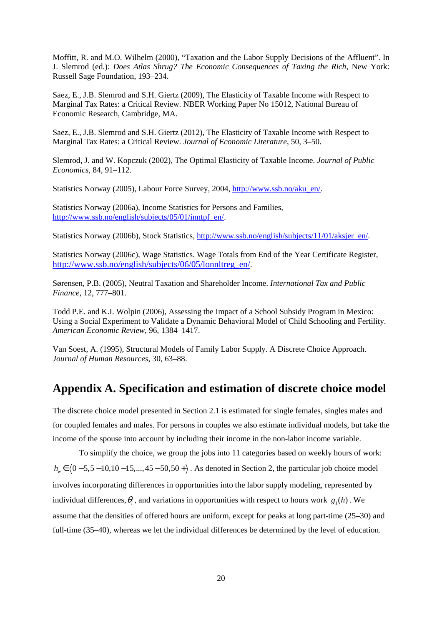Moffitt, R. and M.O. Wilhelm (2000), "Taxation and the Labor Supply Decisions of the Affluent". In J. Slemrod (ed.): *Does Atlas Shrug? The Economic Consequences of Taxing the Rich*, New York: Russell Sage Foundation, 193–234.

Saez, E., J.B. Slemrod and S.H. Giertz (2009), The Elasticity of Taxable Income with Respect to Marginal Tax Rates: a Critical Review. NBER Working Paper No 15012, National Bureau of Economic Research, Cambridge, MA.

Saez, E., J.B. Slemrod and S.H. Giertz (2012), The Elasticity of Taxable Income with Respect to Marginal Tax Rates: a Critical Review. *Journal of Economic Literature*, 50, 3–50.

Slemrod, J. and W. Kopczuk (2002), The Optimal Elasticity of Taxable Income. *Journal of Public Economics*, 84, 91–112.

Statistics Norway (2005), Labour Force Survey, 2004, http://www.ssb.no/aku\_en/.

Statistics Norway (2006a), Income Statistics for Persons and Families, http://www.ssb.no/english/subjects/05/01/inntpf\_en/.

Statistics Norway (2006b), Stock Statistics, http://www.ssb.no/english/subjects/11/01/aksjer\_en/.

Statistics Norway (2006c), Wage Statistics. Wage Totals from End of the Year Certificate Register, http://www.ssb.no/english/subjects/06/05/lonnltreg\_en/.

Sørensen, P.B. (2005), Neutral Taxation and Shareholder Income. *International Tax and Public Finance*, 12, 777–801.

Todd P.E. and K.I. Wolpin (2006), Assessing the Impact of a School Subsidy Program in Mexico: Using a Social Experiment to Validate a Dynamic Behavioral Model of Child Schooling and Fertility. *American Economic Review*, 96, 1384–1417.

Van Soest, A. (1995), Structural Models of Family Labor Supply. A Discrete Choice Approach. *Journal of Human Resources*, 30, 63–88.

# **Appendix A. Specification and estimation of discrete choice model**

The discrete choice model presented in Section 2.1 is estimated for single females, singles males and for coupled females and males. For persons in couples we also estimate individual models, but take the income of the spouse into account by including their income in the non-labor income variable.

 To simplify the choice, we group the jobs into 11 categories based on weekly hours of work:  $h_w \in (0-5, 5-10, 10-15,...,45-50, 50+)$ . As denoted in Section 2, the particular job choice model involves incorporating differences in opportunities into the labor supply modeling, represented by individual differences,  $\theta_i$ , and variations in opportunities with respect to hours work  $g_1(h)$ . We assume that the densities of offered hours are uniform, except for peaks at long part-time (25–30) and full-time (35–40), whereas we let the individual differences be determined by the level of education.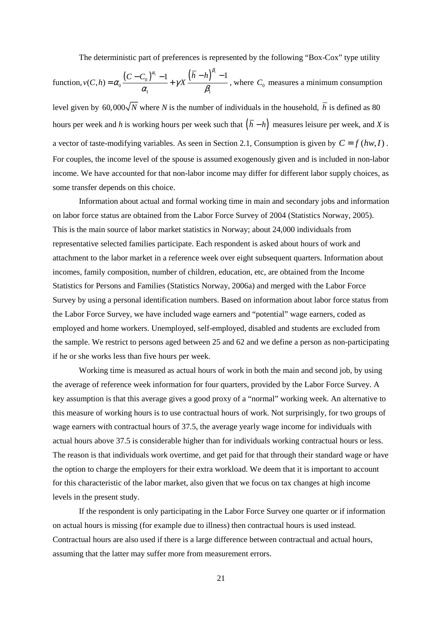The deterministic part of preferences is represented by the following "Box-Cox" type utility

function, 
$$
v(C, h) = \alpha_0 \frac{(C - C_0)^{\alpha_1} - 1}{\alpha_1} + \gamma X \frac{(\overline{h} - h)^{\beta_1} - 1}{\beta_1}
$$
, where  $C_0$  measures a minimum consumption

level given by 60,000 $\sqrt{N}$  where *N* is the number of individuals in the household,  $\overline{h}$  is defined as 80 hours per week and *h* is working hours per week such that  $(\bar{h} - h)$  measures leisure per week, and *X* is a vector of taste-modifying variables. As seen in Section 2.1, Consumption is given by  $C = f(hw, I)$ . For couples, the income level of the spouse is assumed exogenously given and is included in non-labor income. We have accounted for that non-labor income may differ for different labor supply choices, as some transfer depends on this choice.

Information about actual and formal working time in main and secondary jobs and information on labor force status are obtained from the Labor Force Survey of 2004 (Statistics Norway, 2005). This is the main source of labor market statistics in Norway; about 24,000 individuals from representative selected families participate. Each respondent is asked about hours of work and attachment to the labor market in a reference week over eight subsequent quarters. Information about incomes, family composition, number of children, education, etc, are obtained from the Income Statistics for Persons and Families (Statistics Norway, 2006a) and merged with the Labor Force Survey by using a personal identification numbers. Based on information about labor force status from the Labor Force Survey, we have included wage earners and "potential" wage earners, coded as employed and home workers. Unemployed, self-employed, disabled and students are excluded from the sample. We restrict to persons aged between 25 and 62 and we define a person as non-participating if he or she works less than five hours per week.

Working time is measured as actual hours of work in both the main and second job, by using the average of reference week information for four quarters, provided by the Labor Force Survey. A key assumption is that this average gives a good proxy of a "normal" working week. An alternative to this measure of working hours is to use contractual hours of work. Not surprisingly, for two groups of wage earners with contractual hours of 37.5, the average yearly wage income for individuals with actual hours above 37.5 is considerable higher than for individuals working contractual hours or less. The reason is that individuals work overtime, and get paid for that through their standard wage or have the option to charge the employers for their extra workload. We deem that it is important to account for this characteristic of the labor market, also given that we focus on tax changes at high income levels in the present study.

If the respondent is only participating in the Labor Force Survey one quarter or if information on actual hours is missing (for example due to illness) then contractual hours is used instead. Contractual hours are also used if there is a large difference between contractual and actual hours, assuming that the latter may suffer more from measurement errors.

21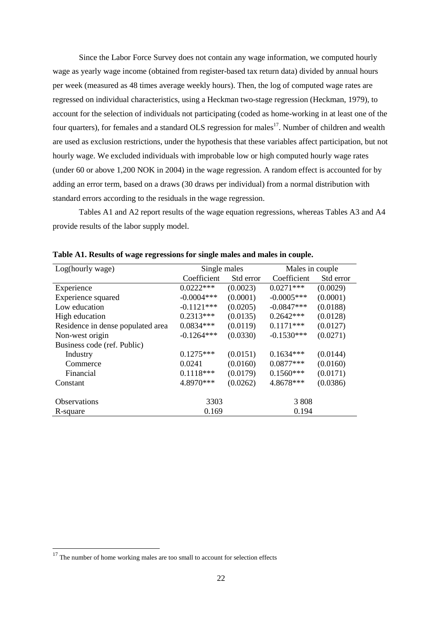Since the Labor Force Survey does not contain any wage information, we computed hourly wage as yearly wage income (obtained from register-based tax return data) divided by annual hours per week (measured as 48 times average weekly hours). Then, the log of computed wage rates are regressed on individual characteristics, using a Heckman two-stage regression (Heckman, 1979), to account for the selection of individuals not participating (coded as home-working in at least one of the four quarters), for females and a standard OLS regression for males<sup>17</sup>. Number of children and wealth are used as exclusion restrictions, under the hypothesis that these variables affect participation, but not hourly wage. We excluded individuals with improbable low or high computed hourly wage rates (under 60 or above 1,200 NOK in 2004) in the wage regression. A random effect is accounted for by adding an error term, based on a draws (30 draws per individual) from a normal distribution with standard errors according to the residuals in the wage regression.

 Tables A1 and A2 report results of the wage equation regressions, whereas Tables A3 and A4 provide results of the labor supply model.

| Log(hourly wage)                  | Single males |           | Males in couple |           |
|-----------------------------------|--------------|-----------|-----------------|-----------|
|                                   | Coefficient  | Std error | Coefficient     | Std error |
| Experience                        | $0.0222***$  | (0.0023)  | $0.0271***$     | (0.0029)  |
| Experience squared                | $-0.0004***$ | (0.0001)  | $-0.0005***$    | (0.0001)  |
| Low education                     | $-0.1121***$ | (0.0205)  | $-0.0847***$    | (0.0188)  |
| High education                    | $0.2313***$  | (0.0135)  | $0.2642***$     | (0.0128)  |
| Residence in dense populated area | $0.0834***$  | (0.0119)  | $0.1171***$     | (0.0127)  |
| Non-west origin                   | $-0.1264***$ | (0.0330)  | $-0.1530***$    | (0.0271)  |
| Business code (ref. Public)       |              |           |                 |           |
| Industry                          | $0.1275***$  | (0.0151)  | $0.1634***$     | (0.0144)  |
| Commerce                          | 0.0241       | (0.0160)  | $0.0877***$     | (0.0160)  |
| Financial                         | $0.1118***$  | (0.0179)  | $0.1560***$     | (0.0171)  |
| Constant                          | 4.8970***    | (0.0262)  | 4.8678***       | (0.0386)  |
|                                   |              |           |                 |           |
| <b>Observations</b>               | 3303         |           | 3 8 0 8         |           |
| R-square                          | 0.169        |           | 0.194           |           |

**Table A1. Results of wage regressions for single males and males in couple.** 

 $\overline{a}$ 

 $17$  The number of home working males are too small to account for selection effects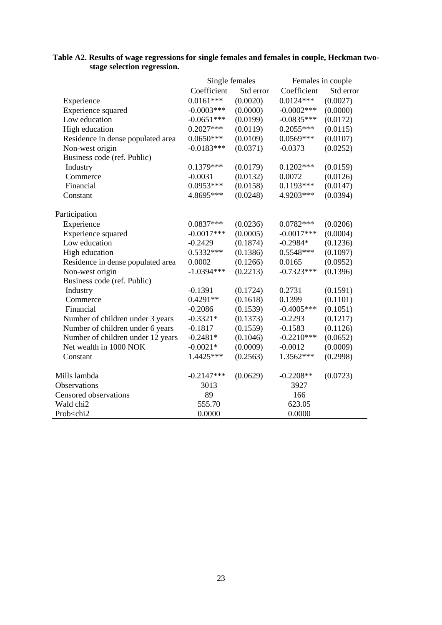|                                                                            | Single females |           |               | Females in couple |
|----------------------------------------------------------------------------|----------------|-----------|---------------|-------------------|
|                                                                            | Coefficient    | Std error | Coefficient   | Std error         |
| Experience                                                                 | $0.0161***$    | (0.0020)  | $0.0124***$   | (0.0027)          |
| Experience squared                                                         | $-0.0003***$   | (0.0000)  | $-0.0002$ *** | (0.0000)          |
| Low education                                                              | $-0.0651***$   | (0.0199)  | $-0.0835***$  | (0.0172)          |
| High education                                                             | $0.2027***$    | (0.0119)  | $0.2055***$   | (0.0115)          |
| Residence in dense populated area                                          | $0.0650***$    | (0.0109)  | $0.0569***$   | (0.0107)          |
| Non-west origin                                                            | $-0.0183***$   | (0.0371)  | $-0.0373$     | (0.0252)          |
| Business code (ref. Public)                                                |                |           |               |                   |
| Industry                                                                   | $0.1379***$    | (0.0179)  | $0.1202***$   | (0.0159)          |
| Commerce                                                                   | $-0.0031$      | (0.0132)  | 0.0072        | (0.0126)          |
| Financial                                                                  | 0.0953***      | (0.0158)  | $0.1193***$   | (0.0147)          |
| Constant                                                                   | 4.8695***      | (0.0248)  | 4.9203***     | (0.0394)          |
|                                                                            |                |           |               |                   |
| Participation                                                              |                |           |               |                   |
| Experience                                                                 | $0.0837***$    | (0.0236)  | $0.0782***$   | (0.0206)          |
| Experience squared                                                         | $-0.0017***$   | (0.0005)  | $-0.0017***$  | (0.0004)          |
| Low education                                                              | $-0.2429$      | (0.1874)  | $-0.2984*$    | (0.1236)          |
| High education                                                             | $0.5332***$    | (0.1386)  | 0.5548***     | (0.1097)          |
| Residence in dense populated area                                          | 0.0002         | (0.1266)  | 0.0165        | (0.0952)          |
| Non-west origin                                                            | $-1.0394***$   | (0.2213)  | $-0.7323***$  | (0.1396)          |
| Business code (ref. Public)                                                |                |           |               |                   |
| Industry                                                                   | $-0.1391$      | (0.1724)  | 0.2731        | (0.1591)          |
| Commerce                                                                   | $0.4291**$     | (0.1618)  | 0.1399        | (0.1101)          |
| Financial                                                                  | $-0.2086$      | (0.1539)  | $-0.4005***$  | (0.1051)          |
| Number of children under 3 years                                           | $-0.3321*$     | (0.1373)  | $-0.2293$     | (0.1217)          |
| Number of children under 6 years                                           | $-0.1817$      | (0.1559)  | $-0.1583$     | (0.1126)          |
| Number of children under 12 years                                          | $-0.2481*$     | (0.1046)  | $-0.2210***$  | (0.0652)          |
| Net wealth in 1000 NOK                                                     | $-0.0021*$     | (0.0009)  | $-0.0012$     | (0.0009)          |
| Constant                                                                   | 1.4425***      | (0.2563)  | 1.3562***     | (0.2998)          |
|                                                                            |                |           |               |                   |
| Mills lambda                                                               | $-0.2147***$   | (0.0629)  | $-0.2208**$   | (0.0723)          |
| Observations                                                               | 3013           |           | 3927          |                   |
| Censored observations                                                      | 89             |           | 166           |                   |
| Wald chi2                                                                  | 555.70         |           | 623.05        |                   |
| Prob <chi2< td=""><td>0.0000</td><td></td><td>0.0000</td><td></td></chi2<> | 0.0000         |           | 0.0000        |                   |

### **Table A2. Results of wage regressions for single females and females in couple, Heckman twostage selection regression.**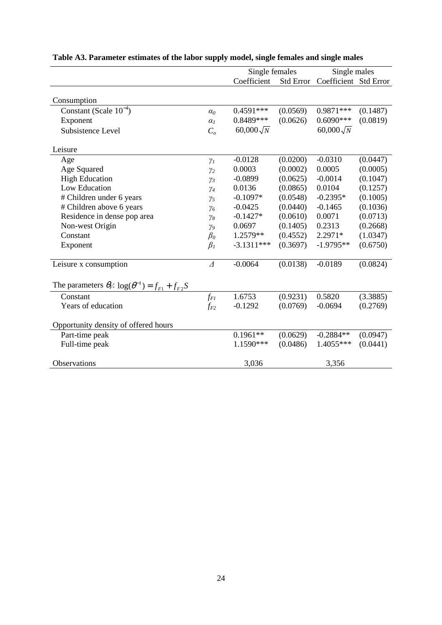|                                                                    |                | Single females   |           | Single males          |          |
|--------------------------------------------------------------------|----------------|------------------|-----------|-----------------------|----------|
|                                                                    |                | Coefficient      | Std Error | Coefficient Std Error |          |
|                                                                    |                |                  |           |                       |          |
| Consumption                                                        |                |                  |           |                       |          |
| Constant (Scale $10^{-4}$ )                                        | $\alpha_0$     | $0.4591***$      | (0.0569)  | 0.9871 ***            | (0.1487) |
| Exponent                                                           | $\alpha_I$     | 0.8489***        | (0.0626)  | $0.6090***$           | (0.0819) |
| Subsistence Level                                                  | C <sub>o</sub> | $60,000\sqrt{N}$ |           | $60,000\sqrt{N}$      |          |
| Leisure                                                            |                |                  |           |                       |          |
| Age                                                                | $\gamma_I$     | $-0.0128$        | (0.0200)  | $-0.0310$             | (0.0447) |
| Age Squared                                                        | $\gamma_2$     | 0.0003           | (0.0002)  | 0.0005                | (0.0005) |
| <b>High Education</b>                                              | $\gamma_3$     | $-0.0899$        | (0.0625)  | $-0.0014$             | (0.1047) |
| Low Education                                                      | $\gamma_4$     | 0.0136           | (0.0865)  | 0.0104                | (0.1257) |
| # Children under 6 years                                           | $\gamma_5$     | $-0.1097*$       | (0.0548)  | $-0.2395*$            | (0.1005) |
| # Children above 6 years                                           | $\gamma_6$     | $-0.0425$        | (0.0440)  | $-0.1465$             | (0.1036) |
| Residence in dense pop area                                        | $\gamma_8$     | $-0.1427*$       | (0.0610)  | 0.0071                | (0.0713) |
| Non-west Origin                                                    | $\gamma_9$     | 0.0697           | (0.1405)  | 0.2313                | (0.2668) |
| Constant                                                           | $\beta_o$      | 1.2579**         | (0.4552)  | 2.2971*               | (1.0347) |
| Exponent                                                           | $\beta_I$      | $-3.1311***$     | (0.3697)  | $-1.9795**$           | (0.6750) |
| Leisure x consumption                                              | $\Delta$       | $-0.0064$        | (0.0138)  | $-0.0189$             | (0.0824) |
| The parameters $\theta_F$ : $\log(\theta^{-1}) = f_{F1} + f_{F2}S$ |                |                  |           |                       |          |
|                                                                    |                |                  |           |                       |          |
| Constant                                                           | $f_{FI}$       | 1.6753           | (0.9231)  | 0.5820                | (3.3885) |
| Years of education                                                 | $f_{F2}$       | $-0.1292$        | (0.0769)  | $-0.0694$             | (0.2769) |
| Opportunity density of offered hours                               |                |                  |           |                       |          |
| Part-time peak                                                     |                | $0.1961**$       | (0.0629)  | $-0.2884**$           | (0.0947) |
| Full-time peak                                                     |                | 1.1590***        | (0.0486)  | 1.4055***             | (0.0441) |
| Observations                                                       |                | 3,036            |           | 3,356                 |          |

# **Table A3. Parameter estimates of the labor supply model, single females and single males**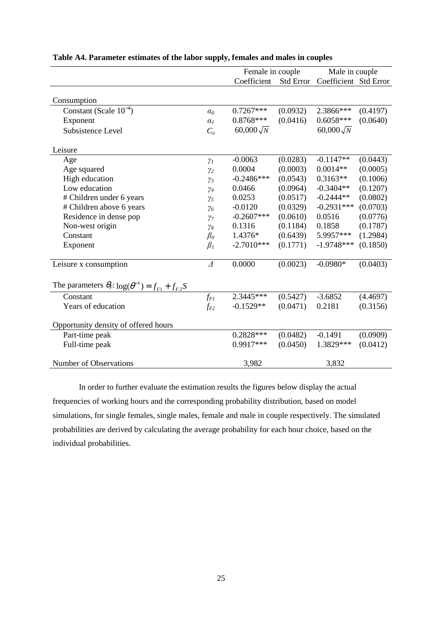|                                                                    |                       | Female in couple |                  | Male in couple        |          |
|--------------------------------------------------------------------|-----------------------|------------------|------------------|-----------------------|----------|
|                                                                    |                       | Coefficient      | <b>Std Error</b> | Coefficient Std Error |          |
|                                                                    |                       |                  |                  |                       |          |
| Consumption                                                        |                       |                  |                  |                       |          |
| Constant (Scale $10^{-4}$ )                                        | $\alpha_0$            | $0.7267***$      | (0.0932)         | 2.3866***             | (0.4197) |
| Exponent                                                           | $\alpha$ <sub>1</sub> | $0.8768***$      | (0.0416)         | $0.6058***$           | (0.0640) |
| Subsistence Level                                                  | C <sub>o</sub>        | $60,000\sqrt{N}$ |                  | $60,000\sqrt{N}$      |          |
| Leisure                                                            |                       |                  |                  |                       |          |
| Age                                                                | $\gamma_I$            | $-0.0063$        | (0.0283)         | $-0.1147**$           | (0.0443) |
| Age squared                                                        | $\gamma_2$            | 0.0004           | (0.0003)         | $0.0014**$            | (0.0005) |
| High education                                                     | $\gamma_3$            | $-0.2486***$     | (0.0543)         | $0.3163**$            | (0.1006) |
| Low education                                                      | $\gamma_4$            | 0.0466           | (0.0964)         | $-0.3404**$           | (0.1207) |
| # Children under 6 years                                           | $\gamma_5$            | 0.0253           | (0.0517)         | $-0.2444**$           | (0.0802) |
| # Children above 6 years                                           | $\gamma_6$            | $-0.0120$        | (0.0329)         | $-0.2931***$          | (0.0703) |
| Residence in dense pop                                             | $\gamma$              | $-0.2607***$     | (0.0610)         | 0.0516                | (0.0776) |
| Non-west origin                                                    | $\gamma_8$            | 0.1316           | (0.1184)         | 0.1858                | (0.1787) |
| Constant                                                           | $\beta_o$             | 1.4376*          | (0.6439)         | 5.9957***             | (1.2984) |
| Exponent                                                           | $\beta_I$             | $-2.7010***$     | (0.1771)         | $-1.9748***$          | (0.1850) |
| Leisure x consumption                                              | $\varDelta$           | 0.0000           | (0.0023)         | $-0.0980*$            | (0.0403) |
| The parameters $\theta_F$ : $\log(\theta^{-1}) = f_{F1} + f_{F2}S$ |                       |                  |                  |                       |          |
| Constant                                                           | $f_{FI}$              | 2.3445***        | (0.5427)         | $-3.6852$             | (4.4697) |
| Years of education                                                 | $f_{F2}$              | $-0.1529**$      | (0.0471)         | 0.2181                | (0.3156) |
| Opportunity density of offered hours                               |                       |                  |                  |                       |          |
| Part-time peak                                                     |                       | $0.2828***$      | (0.0482)         | $-0.1491$             | (0.0909) |
| Full-time peak                                                     |                       | 0.9917***        | (0.0450)         | 1.3829***             | (0.0412) |
| Number of Observations                                             |                       | 3,982            |                  | 3,832                 |          |

### **Table A4. Parameter estimates of the labor supply, females and males in couples**

In order to further evaluate the estimation results the figures below display the actual frequencies of working hours and the corresponding probability distribution, based on model simulations, for single females, single males, female and male in couple respectively. The simulated probabilities are derived by calculating the average probability for each hour choice, based on the individual probabilities.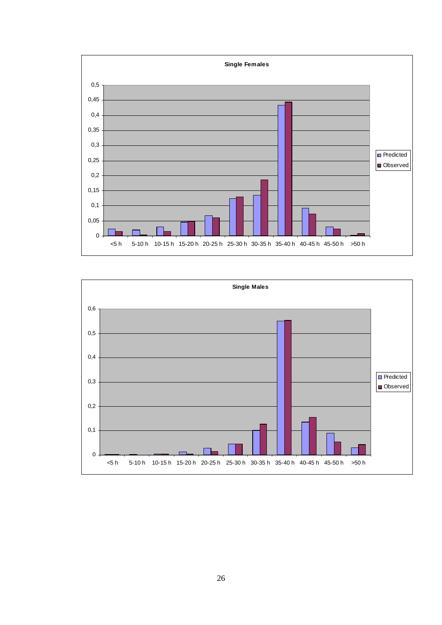

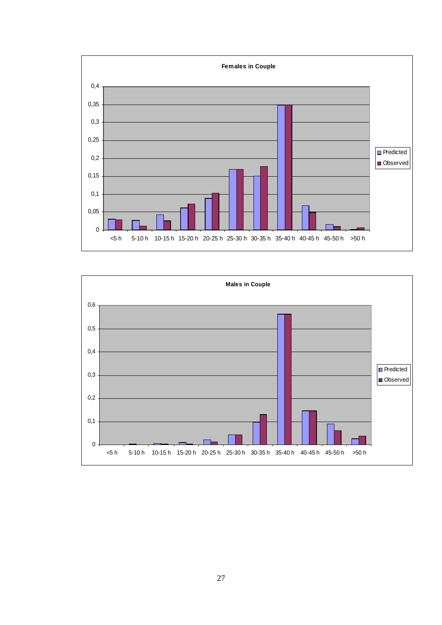

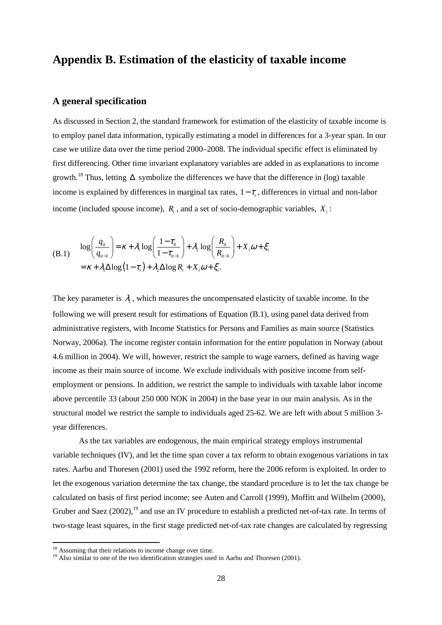# **Appendix B. Estimation of the elasticity of taxable income**

## **A general specification**

As discussed in Section 2, the standard framework for estimation of the elasticity of taxable income is to employ panel data information, typically estimating a model in differences for a 3-year span. In our case we utilize data over the time period 2000–2008. The individual specific effect is eliminated by first differencing. Other time invariant explanatory variables are added in as explanations to income growth.<sup>18</sup> Thus, letting  $\Delta$  symbolize the differences we have that the difference in (log) taxable income is explained by differences in marginal tax rates,  $1 - \tau$ , differences in virtual and non-labor income (included spouse income),  $R_i$ , and a set of socio-demographic variables,  $X_i$ :

(B.1) 
$$
\log \left( \frac{q_{ii}}{q_{ii-1}} \right) = \kappa + \lambda_1 \log \left( \frac{1 - \tau_{ii}}{1 - \tau_{ii-1}} \right) + \lambda_2 \log \left( \frac{R_{ii}}{R_{ii-1}} \right) + X_i \omega + \xi_i
$$

$$
= \kappa + \lambda_1 \Delta \log \left( 1 - \tau_i \right) + \lambda_2 \Delta \log R_i + X_i \omega + \xi_i.
$$

The key parameter is  $\lambda_1$ , which measures the uncompensated elasticity of taxable income. In the following we will present result for estimations of Equation (B.1), using panel data derived from administrative registers, with Income Statistics for Persons and Families as main source (Statistics Norway, 2006a). The income register contain information for the entire population in Norway (about 4.6 million in 2004). We will, however, restrict the sample to wage earners, defined as having wage income as their main source of income. We exclude individuals with positive income from selfemployment or pensions. In addition, we restrict the sample to individuals with taxable labor income above percentile 33 (about 250 000 NOK in 2004) in the base year in our main analysis. As in the structural model we restrict the sample to individuals aged 25-62. We are left with about 5 million 3 year differences.

As the tax variables are endogenous, the main empirical strategy employs instrumental variable techniques (IV), and let the time span cover a tax reform to obtain exogenous variations in tax rates. Aarbu and Thoresen (2001) used the 1992 reform, here the 2006 reform is exploited. In order to let the exogenous variation determine the tax change, the standard procedure is to let the tax change be calculated on basis of first period income; see Auten and Carroll (1999), Moffitt and Wilhelm (2000), Gruber and Saez  $(2002)$ , <sup>19</sup> and use an IV procedure to establish a predicted net-of-tax rate. In terms of two-stage least squares, in the first stage predicted net-of-tax rate changes are calculated by regressing

l

 $18$  Assuming that their relations to income change over time.

<sup>&</sup>lt;sup>19</sup> Also similar to one of the two identification strategies used in Aarbu and Thoresen (2001).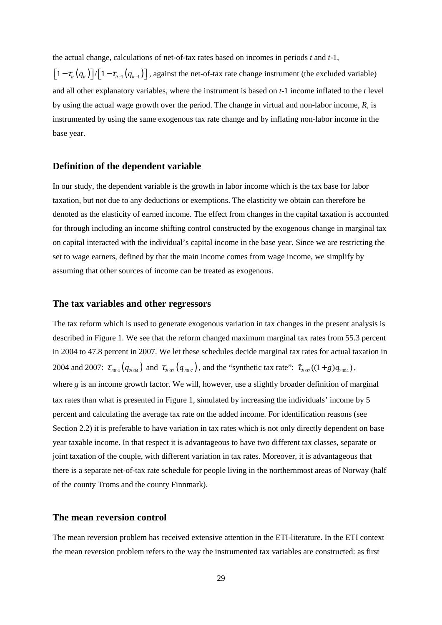the actual change, calculations of net-of-tax rates based on incomes in periods *t* and *t*-1,

 $\left[1-\tau_{i_t}\left(q_{i_t}\right)\right]/\left[1-\tau_{i_{t-1}}\left(q_{i_{t-1}}\right)\right]$ , against the net-of-tax rate change instrument (the excluded variable) and all other explanatory variables, where the instrument is based on *t*-1 income inflated to the *t* level by using the actual wage growth over the period. The change in virtual and non-labor income, *R*, is instrumented by using the same exogenous tax rate change and by inflating non-labor income in the base year.

#### **Definition of the dependent variable**

In our study, the dependent variable is the growth in labor income which is the tax base for labor taxation, but not due to any deductions or exemptions. The elasticity we obtain can therefore be denoted as the elasticity of earned income. The effect from changes in the capital taxation is accounted for through including an income shifting control constructed by the exogenous change in marginal tax on capital interacted with the individual's capital income in the base year. Since we are restricting the set to wage earners, defined by that the main income comes from wage income, we simplify by assuming that other sources of income can be treated as exogenous.

### **The tax variables and other regressors**

The tax reform which is used to generate exogenous variation in tax changes in the present analysis is described in Figure 1. We see that the reform changed maximum marginal tax rates from 55.3 percent in 2004 to 47.8 percent in 2007. We let these schedules decide marginal tax rates for actual taxation in 2004 and 2007:  $\tau_{2004}(q_{2004})$  and  $\tau_{2007}(q_{2007})$ , and the "synthetic tax rate":  $\hat{\tau}_{2007}((1+g)q_{2004})$ , where *g* is an income growth factor. We will, however, use a slightly broader definition of marginal tax rates than what is presented in Figure 1, simulated by increasing the individuals' income by 5 percent and calculating the average tax rate on the added income. For identification reasons (see Section 2.2) it is preferable to have variation in tax rates which is not only directly dependent on base year taxable income. In that respect it is advantageous to have two different tax classes, separate or joint taxation of the couple, with different variation in tax rates. Moreover, it is advantageous that there is a separate net-of-tax rate schedule for people living in the northernmost areas of Norway (half of the county Troms and the county Finnmark).

### **The mean reversion control**

The mean reversion problem has received extensive attention in the ETI-literature. In the ETI context the mean reversion problem refers to the way the instrumented tax variables are constructed: as first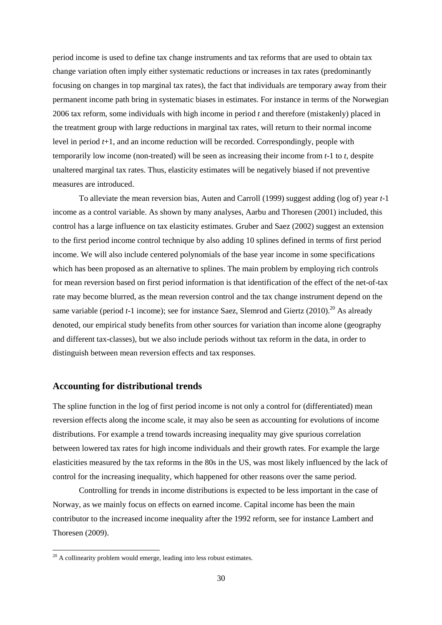period income is used to define tax change instruments and tax reforms that are used to obtain tax change variation often imply either systematic reductions or increases in tax rates (predominantly focusing on changes in top marginal tax rates), the fact that individuals are temporary away from their permanent income path bring in systematic biases in estimates. For instance in terms of the Norwegian 2006 tax reform, some individuals with high income in period *t* and therefore (mistakenly) placed in the treatment group with large reductions in marginal tax rates, will return to their normal income level in period *t*+1, and an income reduction will be recorded. Correspondingly, people with temporarily low income (non-treated) will be seen as increasing their income from *t*-1 to *t*, despite unaltered marginal tax rates. Thus, elasticity estimates will be negatively biased if not preventive measures are introduced.

 To alleviate the mean reversion bias, Auten and Carroll (1999) suggest adding (log of) year *t*-1 income as a control variable. As shown by many analyses, Aarbu and Thoresen (2001) included, this control has a large influence on tax elasticity estimates. Gruber and Saez (2002) suggest an extension to the first period income control technique by also adding 10 splines defined in terms of first period income. We will also include centered polynomials of the base year income in some specifications which has been proposed as an alternative to splines. The main problem by employing rich controls for mean reversion based on first period information is that identification of the effect of the net-of-tax rate may become blurred, as the mean reversion control and the tax change instrument depend on the same variable (period  $t-1$  income); see for instance Saez, Slemrod and Giertz (2010).<sup>20</sup> As already denoted, our empirical study benefits from other sources for variation than income alone (geography and different tax-classes), but we also include periods without tax reform in the data, in order to distinguish between mean reversion effects and tax responses.

### **Accounting for distributional trends**

The spline function in the log of first period income is not only a control for (differentiated) mean reversion effects along the income scale, it may also be seen as accounting for evolutions of income distributions. For example a trend towards increasing inequality may give spurious correlation between lowered tax rates for high income individuals and their growth rates. For example the large elasticities measured by the tax reforms in the 80s in the US, was most likely influenced by the lack of control for the increasing inequality, which happened for other reasons over the same period.

 Controlling for trends in income distributions is expected to be less important in the case of Norway, as we mainly focus on effects on earned income. Capital income has been the main contributor to the increased income inequality after the 1992 reform, see for instance Lambert and Thoresen (2009).

 $\overline{a}$ 

 $20$  A collinearity problem would emerge, leading into less robust estimates.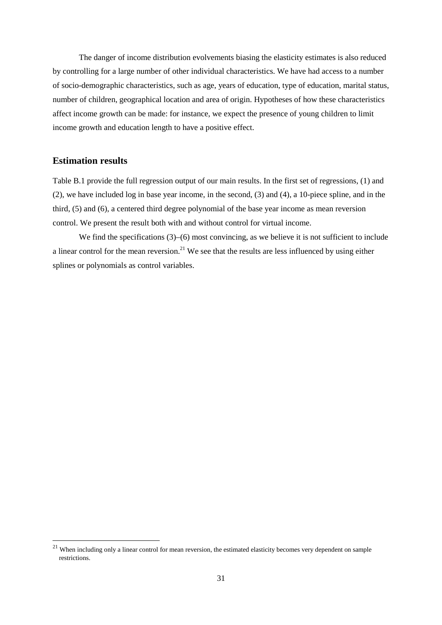The danger of income distribution evolvements biasing the elasticity estimates is also reduced by controlling for a large number of other individual characteristics. We have had access to a number of socio-demographic characteristics, such as age, years of education, type of education, marital status, number of children, geographical location and area of origin. Hypotheses of how these characteristics affect income growth can be made: for instance, we expect the presence of young children to limit income growth and education length to have a positive effect.

## **Estimation results**

 $\overline{a}$ 

Table B.1 provide the full regression output of our main results. In the first set of regressions, (1) and (2), we have included log in base year income, in the second, (3) and (4), a 10-piece spline, and in the third, (5) and (6), a centered third degree polynomial of the base year income as mean reversion control. We present the result both with and without control for virtual income.

We find the specifications (3)–(6) most convincing, as we believe it is not sufficient to include a linear control for the mean reversion.<sup>21</sup> We see that the results are less influenced by using either splines or polynomials as control variables.

 $21$  When including only a linear control for mean reversion, the estimated elasticity becomes very dependent on sample restrictions.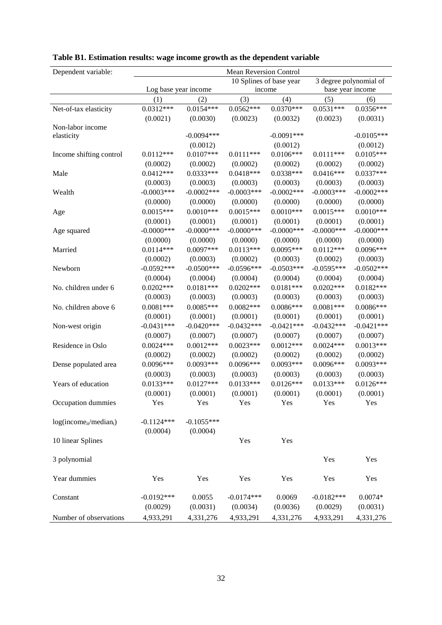| Dependent variable:         | Mean Reversion Control |               |               |                         |                  |                        |
|-----------------------------|------------------------|---------------|---------------|-------------------------|------------------|------------------------|
|                             |                        |               |               | 10 Splines of base year |                  | 3 degree polynomial of |
|                             | Log base year income   |               | income        |                         | base year income |                        |
|                             | (1)                    | (2)           | (3)           | (4)                     | (5)              | (6)                    |
| Net-of-tax elasticity       | $0.0312***$            | $0.0154***$   | $0.0562***$   | $0.0370***$             | $0.0531***$      | $0.0356***$            |
|                             | (0.0021)               | (0.0030)      | (0.0023)      | (0.0032)                | (0.0023)         | (0.0031)               |
| Non-labor income            |                        |               |               |                         |                  |                        |
| elasticity                  |                        | $-0.0094***$  |               | $-0.0091***$            |                  | $-0.0105***$           |
|                             |                        | (0.0012)      |               | (0.0012)                |                  | (0.0012)               |
| Income shifting control     | $0.0112***$            | $0.0107***$   | $0.0111***$   | $0.0106***$             | $0.0111***$      | $0.0105***$            |
|                             | (0.0002)               | (0.0002)      | (0.0002)      | (0.0002)                | (0.0002)         | (0.0002)               |
| Male                        | $0.0412***$            | $0.0333***$   | $0.0418***$   | $0.0338***$             | $0.0416***$      | $0.0337***$            |
|                             | (0.0003)               | (0.0003)      | (0.0003)      | (0.0003)                | (0.0003)         | (0.0003)               |
| Wealth                      | $-0.0003***$           | $-0.0002$ *** | $-0.0003***$  | $-0.0002$ ***           | $-0.0003***$     | $-0.0002***$           |
|                             | (0.0000)               | (0.0000)      | (0.0000)      | (0.0000)                | (0.0000)         | (0.0000)               |
| Age                         | $0.0015***$            | $0.0010***$   | $0.0015***$   | $0.0010***$             | $0.0015***$      | $0.0010***$            |
|                             | (0.0001)               | (0.0001)      | (0.0001)      | (0.0001)                | (0.0001)         | (0.0001)               |
| Age squared                 | $-0.0000$ ***          | $-0.0000$ *** | $-0.0000$ *** | $-0.0000$ ***           | $-0.0000$ ***    | $-0.0000$ ***          |
|                             | (0.0000)               | (0.0000)      | (0.0000)      | (0.0000)                | (0.0000)         | (0.0000)               |
| Married                     | $0.0114***$            | $0.0097***$   | $0.0113***$   | $0.0095***$             | $0.0112***$      | $0.0096***$            |
|                             | (0.0002)               | (0.0003)      | (0.0002)      | (0.0003)                | (0.0002)         | (0.0003)               |
| Newborn                     | $-0.0592***$           | $-0.0500***$  | $-0.0596***$  | $-0.0503***$            | $-0.0595***$     | $-0.0502***$           |
|                             | (0.0004)               | (0.0004)      | (0.0004)      | (0.0004)                | (0.0004)         | (0.0004)               |
| No. children under 6        | $0.0202***$            | $0.0181***$   | $0.0202***$   | $0.0181***$             | $0.0202***$      | $0.0182***$            |
|                             | (0.0003)               | (0.0003)      | (0.0003)      | (0.0003)                | (0.0003)         | (0.0003)               |
| No. children above 6        | $0.0081***$            | $0.0085***$   | $0.0082***$   | $0.0086***$             | $0.0081***$      | $0.0086***$            |
|                             | (0.0001)               | (0.0001)      | (0.0001)      | (0.0001)                | (0.0001)         | (0.0001)               |
| Non-west origin             | $-0.0431***$           | $-0.0420***$  | $-0.0432***$  | $-0.0421***$            | $-0.0432***$     | $-0.0421***$           |
|                             | (0.0007)               | (0.0007)      | (0.0007)      | (0.0007)                | (0.0007)         | (0.0007)               |
| Residence in Oslo           | $0.0024***$            | $0.0012***$   | $0.0023***$   | $0.0012***$             | $0.0024***$      | $0.0013***$            |
|                             | (0.0002)               | (0.0002)      | (0.0002)      | (0.0002)                | (0.0002)         | (0.0002)               |
| Dense populated area        | 0.0096***              | $0.0093***$   | $0.0096***$   | $0.0093***$             | $0.0096***$      | $0.0093***$            |
|                             | (0.0003)               | (0.0003)      | (0.0003)      | (0.0003)                | (0.0003)         | (0.0003)               |
| Years of education          | $0.0133***$            | $0.0127***$   | $0.0133***$   | $0.0126***$             | $0.0133***$      | $0.0126***$            |
|                             | (0.0001)               | (0.0001)      | (0.0001)      | (0.0001)                | (0.0001)         | (0.0001)               |
| Occupation dummies          | Yes                    | Yes           | Yes           | Yes                     | Yes              | Yes                    |
|                             |                        |               |               |                         |                  |                        |
| $log(income_{it}/median_t)$ | $-0.1124***$           | $-0.1055***$  |               |                         |                  |                        |
|                             | (0.0004)               | (0.0004)      |               |                         |                  |                        |
| 10 linear Splines           |                        |               | Yes           | Yes                     |                  |                        |
|                             |                        |               |               |                         |                  |                        |
| 3 polynomial                |                        |               |               |                         | Yes              | Yes                    |
|                             |                        |               |               |                         |                  |                        |
| Year dummies                | Yes                    | Yes           | Yes           | Yes                     | Yes              | Yes                    |
| Constant                    | $-0.0192***$           | 0.0055        | $-0.0174***$  | 0.0069                  | $-0.0182***$     | $0.0074*$              |
|                             | (0.0029)               | (0.0031)      | (0.0034)      | (0.0036)                | (0.0029)         | (0.0031)               |
| Number of observations      | 4,933,291              | 4,331,276     | 4,933,291     | 4,331,276               | 4,933,291        | 4,331,276              |

## **Table B1. Estimation results: wage income growth as the dependent variable**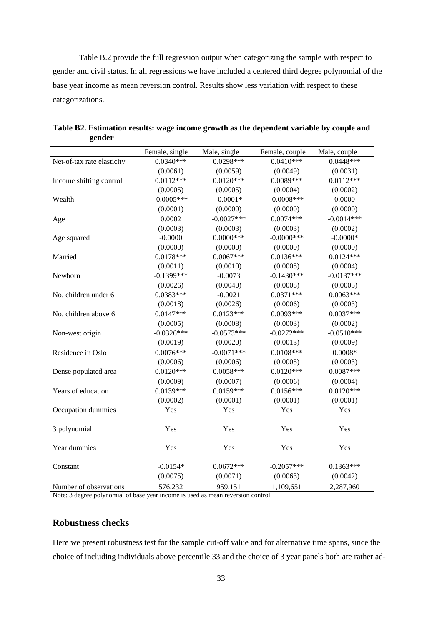Table B.2 provide the full regression output when categorizing the sample with respect to gender and civil status. In all regressions we have included a centered third degree polynomial of the base year income as mean reversion control. Results show less variation with respect to these categorizations.

|                            | Female, single | Male, single | Female, couple | Male, couple |
|----------------------------|----------------|--------------|----------------|--------------|
| Net-of-tax rate elasticity | $0.0340***$    | $0.0298***$  | $0.0410***$    | $0.0448***$  |
|                            | (0.0061)       | (0.0059)     | (0.0049)       | (0.0031)     |
| Income shifting control    | $0.0112***$    | $0.0120***$  | $0.0089***$    | $0.0112***$  |
|                            | (0.0005)       | (0.0005)     | (0.0004)       | (0.0002)     |
| Wealth                     | $-0.0005***$   | $-0.0001*$   | $-0.0008$ ***  | 0.0000       |
|                            | (0.0001)       | (0.0000)     | (0.0000)       | (0.0000)     |
| Age                        | 0.0002         | $-0.0027***$ | $0.0074***$    | $-0.0014***$ |
|                            | (0.0003)       | (0.0003)     | (0.0003)       | (0.0002)     |
| Age squared                | $-0.0000$      | $0.0000***$  | $-0.0000$ ***  | $-0.0000*$   |
|                            | (0.0000)       | (0.0000)     | (0.0000)       | (0.0000)     |
| Married                    | $0.0178***$    | $0.0067***$  | $0.0136***$    | $0.0124***$  |
|                            | (0.0011)       | (0.0010)     | (0.0005)       | (0.0004)     |
| Newborn                    | $-0.1399***$   | $-0.0073$    | $-0.1430***$   | $-0.0137***$ |
|                            | (0.0026)       | (0.0040)     | (0.0008)       | (0.0005)     |
| No. children under 6       | $0.0383***$    | $-0.0021$    | $0.0371***$    | $0.0063***$  |
|                            | (0.0018)       | (0.0026)     | (0.0006)       | (0.0003)     |
| No. children above 6       | $0.0147***$    | $0.0123***$  | $0.0093***$    | $0.0037***$  |
|                            | (0.0005)       | (0.0008)     | (0.0003)       | (0.0002)     |
| Non-west origin            | $-0.0326***$   | $-0.0573***$ | $-0.0272***$   | $-0.0510***$ |
|                            | (0.0019)       | (0.0020)     | (0.0013)       | (0.0009)     |
| Residence in Oslo          | $0.0076***$    | $-0.0071***$ | $0.0108***$    | $0.0008*$    |
|                            | (0.0006)       | (0.0006)     | (0.0005)       | (0.0003)     |
| Dense populated area       | $0.0120***$    | $0.0058***$  | $0.0120***$    | $0.0087***$  |
|                            | (0.0009)       | (0.0007)     | (0.0006)       | (0.0004)     |
| Years of education         | $0.0139***$    | $0.0159***$  | $0.0156***$    | $0.0120***$  |
|                            | (0.0002)       | (0.0001)     | (0.0001)       | (0.0001)     |
| Occupation dummies         | Yes            | Yes          | Yes            | Yes          |
| 3 polynomial               | Yes            | Yes          | Yes            | Yes          |
| Year dummies               | Yes            | Yes          | Yes            | Yes          |
| Constant                   | $-0.0154*$     | $0.0672***$  | $-0.2057***$   | $0.1363***$  |
|                            | (0.0075)       | (0.0071)     | (0.0063)       | (0.0042)     |
| Number of observations     | 576,232        | 959,151      | 1,109,651      | 2,287,960    |

**Table B2. Estimation results: wage income growth as the dependent variable by couple and gender** 

Note: 3 degree polynomial of base year income is used as mean reversion control

### **Robustness checks**

Here we present robustness test for the sample cut-off value and for alternative time spans, since the choice of including individuals above percentile 33 and the choice of 3 year panels both are rather ad